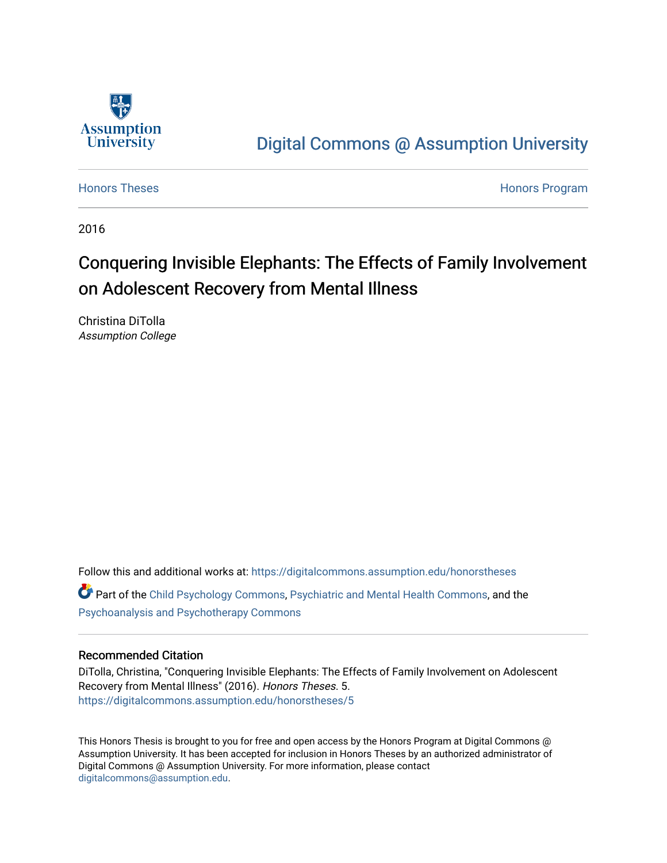

# [Digital Commons @ Assumption University](https://digitalcommons.assumption.edu/)

[Honors Theses](https://digitalcommons.assumption.edu/honorstheses) **Honors** Program

2016

# Conquering Invisible Elephants: The Effects of Family Involvement on Adolescent Recovery from Mental Illness

Christina DiTolla Assumption College

Follow this and additional works at: [https://digitalcommons.assumption.edu/honorstheses](https://digitalcommons.assumption.edu/honorstheses?utm_source=digitalcommons.assumption.edu%2Fhonorstheses%2F5&utm_medium=PDF&utm_campaign=PDFCoverPages)

Part of the [Child Psychology Commons,](http://network.bepress.com/hgg/discipline/1023?utm_source=digitalcommons.assumption.edu%2Fhonorstheses%2F5&utm_medium=PDF&utm_campaign=PDFCoverPages) [Psychiatric and Mental Health Commons,](http://network.bepress.com/hgg/discipline/711?utm_source=digitalcommons.assumption.edu%2Fhonorstheses%2F5&utm_medium=PDF&utm_campaign=PDFCoverPages) and the [Psychoanalysis and Psychotherapy Commons](http://network.bepress.com/hgg/discipline/716?utm_source=digitalcommons.assumption.edu%2Fhonorstheses%2F5&utm_medium=PDF&utm_campaign=PDFCoverPages) 

## Recommended Citation

DiTolla, Christina, "Conquering Invisible Elephants: The Effects of Family Involvement on Adolescent Recovery from Mental Illness" (2016). Honors Theses. 5. [https://digitalcommons.assumption.edu/honorstheses/5](https://digitalcommons.assumption.edu/honorstheses/5?utm_source=digitalcommons.assumption.edu%2Fhonorstheses%2F5&utm_medium=PDF&utm_campaign=PDFCoverPages) 

This Honors Thesis is brought to you for free and open access by the Honors Program at Digital Commons @ Assumption University. It has been accepted for inclusion in Honors Theses by an authorized administrator of Digital Commons @ Assumption University. For more information, please contact [digitalcommons@assumption.edu](mailto:digitalcommons@assumption.edu).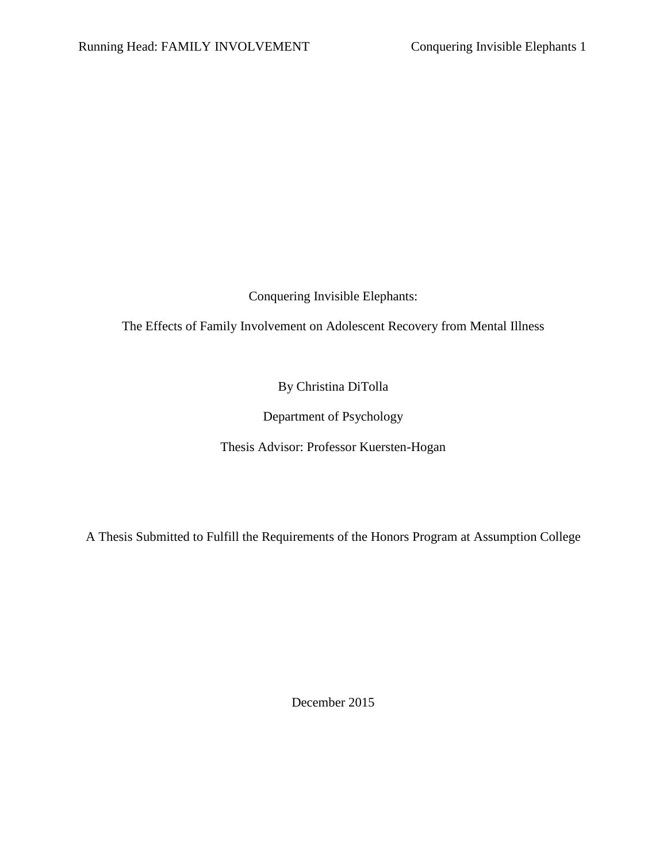Conquering Invisible Elephants:

The Effects of Family Involvement on Adolescent Recovery from Mental Illness

By Christina DiTolla

Department of Psychology

Thesis Advisor: Professor Kuersten-Hogan

A Thesis Submitted to Fulfill the Requirements of the Honors Program at Assumption College

December 2015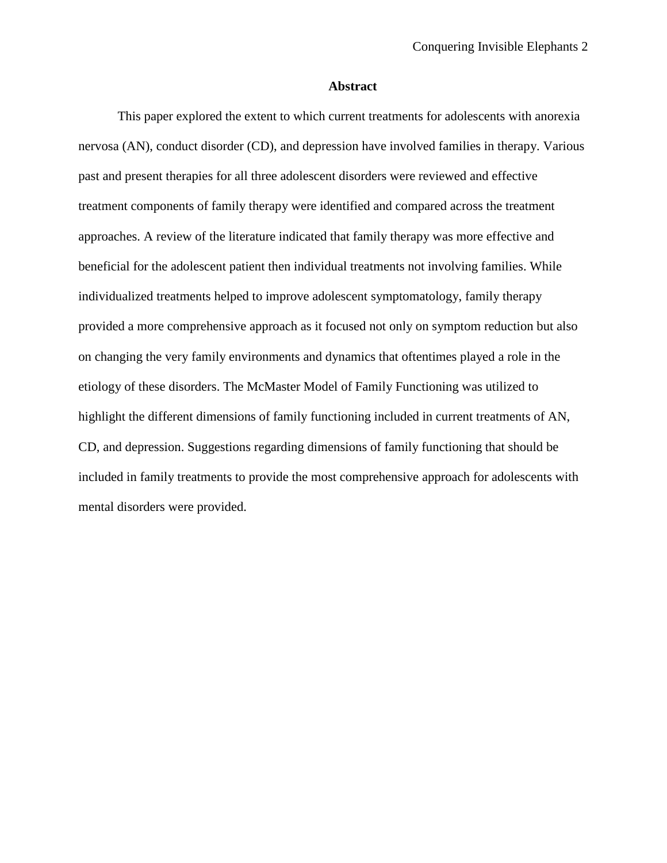# **Abstract**

This paper explored the extent to which current treatments for adolescents with anorexia nervosa (AN), conduct disorder (CD), and depression have involved families in therapy. Various past and present therapies for all three adolescent disorders were reviewed and effective treatment components of family therapy were identified and compared across the treatment approaches. A review of the literature indicated that family therapy was more effective and beneficial for the adolescent patient then individual treatments not involving families. While individualized treatments helped to improve adolescent symptomatology, family therapy provided a more comprehensive approach as it focused not only on symptom reduction but also on changing the very family environments and dynamics that oftentimes played a role in the etiology of these disorders. The McMaster Model of Family Functioning was utilized to highlight the different dimensions of family functioning included in current treatments of AN, CD, and depression. Suggestions regarding dimensions of family functioning that should be included in family treatments to provide the most comprehensive approach for adolescents with mental disorders were provided.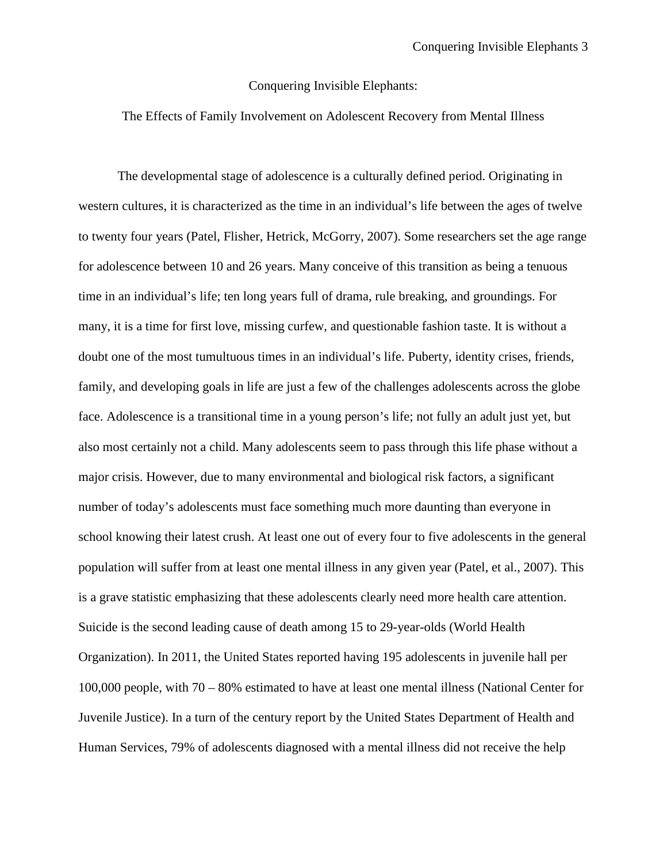## Conquering Invisible Elephants:

# The Effects of Family Involvement on Adolescent Recovery from Mental Illness

The developmental stage of adolescence is a culturally defined period. Originating in western cultures, it is characterized as the time in an individual's life between the ages of twelve to twenty four years (Patel, Flisher, Hetrick, McGorry, 2007). Some researchers set the age range for adolescence between 10 and 26 years. Many conceive of this transition as being a tenuous time in an individual's life; ten long years full of drama, rule breaking, and groundings. For many, it is a time for first love, missing curfew, and questionable fashion taste. It is without a doubt one of the most tumultuous times in an individual's life. Puberty, identity crises, friends, family, and developing goals in life are just a few of the challenges adolescents across the globe face. Adolescence is a transitional time in a young person's life; not fully an adult just yet, but also most certainly not a child. Many adolescents seem to pass through this life phase without a major crisis. However, due to many environmental and biological risk factors, a significant number of today's adolescents must face something much more daunting than everyone in school knowing their latest crush. At least one out of every four to five adolescents in the general population will suffer from at least one mental illness in any given year (Patel, et al., 2007). This is a grave statistic emphasizing that these adolescents clearly need more health care attention. Suicide is the second leading cause of death among 15 to 29-year-olds (World Health Organization). In 2011, the United States reported having 195 adolescents in juvenile hall per 100,000 people, with 70 – 80% estimated to have at least one mental illness (National Center for Juvenile Justice). In a turn of the century report by the United States Department of Health and Human Services, 79% of adolescents diagnosed with a mental illness did not receive the help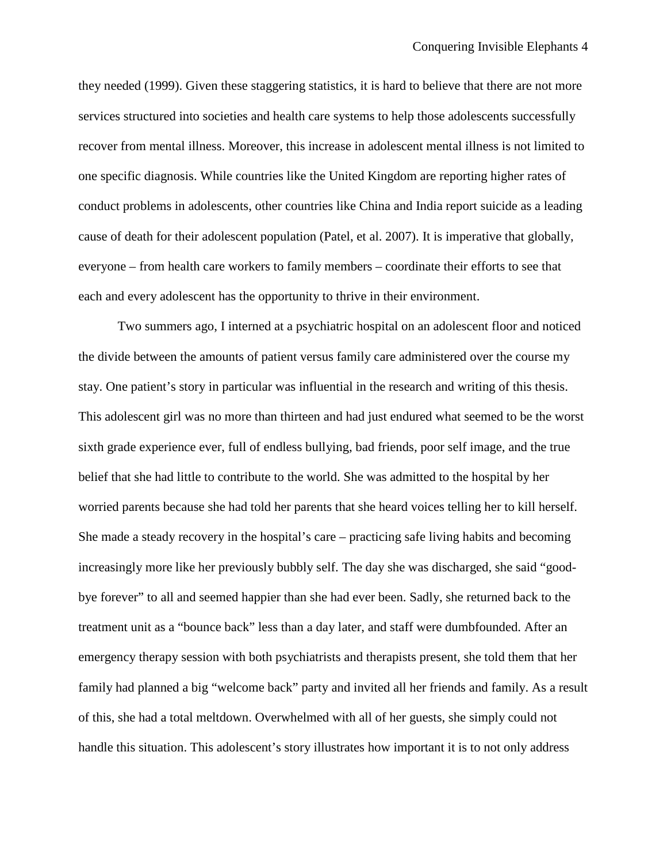they needed (1999). Given these staggering statistics, it is hard to believe that there are not more services structured into societies and health care systems to help those adolescents successfully recover from mental illness. Moreover, this increase in adolescent mental illness is not limited to one specific diagnosis. While countries like the United Kingdom are reporting higher rates of conduct problems in adolescents, other countries like China and India report suicide as a leading cause of death for their adolescent population (Patel, et al. 2007). It is imperative that globally, everyone – from health care workers to family members – coordinate their efforts to see that each and every adolescent has the opportunity to thrive in their environment.

Two summers ago, I interned at a psychiatric hospital on an adolescent floor and noticed the divide between the amounts of patient versus family care administered over the course my stay. One patient's story in particular was influential in the research and writing of this thesis. This adolescent girl was no more than thirteen and had just endured what seemed to be the worst sixth grade experience ever, full of endless bullying, bad friends, poor self image, and the true belief that she had little to contribute to the world. She was admitted to the hospital by her worried parents because she had told her parents that she heard voices telling her to kill herself. She made a steady recovery in the hospital's care – practicing safe living habits and becoming increasingly more like her previously bubbly self. The day she was discharged, she said "goodbye forever" to all and seemed happier than she had ever been. Sadly, she returned back to the treatment unit as a "bounce back" less than a day later, and staff were dumbfounded. After an emergency therapy session with both psychiatrists and therapists present, she told them that her family had planned a big "welcome back" party and invited all her friends and family. As a result of this, she had a total meltdown. Overwhelmed with all of her guests, she simply could not handle this situation. This adolescent's story illustrates how important it is to not only address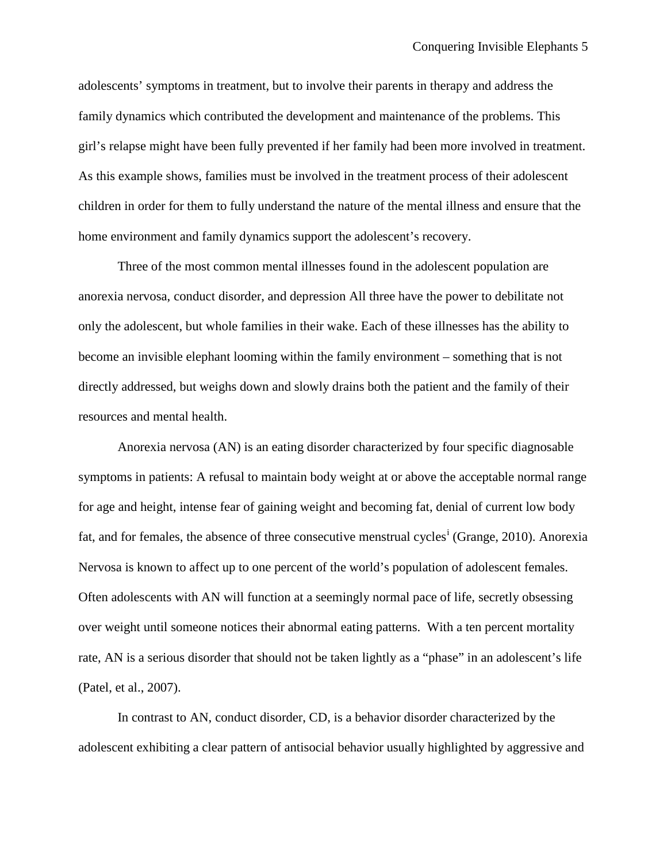adolescents' symptoms in treatment, but to involve their parents in therapy and address the family dynamics which contributed the development and maintenance of the problems. This girl's relapse might have been fully prevented if her family had been more involved in treatment. As this example shows, families must be involved in the treatment process of their adolescent children in order for them to fully understand the nature of the mental illness and ensure that the home environment and family dynamics support the adolescent's recovery.

Three of the most common mental illnesses found in the adolescent population are anorexia nervosa, conduct disorder, and depression All three have the power to debilitate not only the adolescent, but whole families in their wake. Each of these illnesses has the ability to become an invisible elephant looming within the family environment – something that is not directly addressed, but weighs down and slowly drains both the patient and the family of their resources and mental health.

Anorexia nervosa (AN) is an eating disorder characterized by four specific diagnosable symptoms in patients: A refusal to maintain body weight at or above the acceptable normal range for age and height, intense fear of gaining weight and becoming fat, denial of current low body fat, and for females, the absence of three consecut[i](#page-12-0)ve menstrual cycles<sup>i</sup> (Grange, 2010). Anorexia Nervosa is known to affect up to one percent of the world's population of adolescent females. Often adolescents with AN will function at a seemingly normal pace of life, secretly obsessing over weight until someone notices their abnormal eating patterns. With a ten percent mortality rate, AN is a serious disorder that should not be taken lightly as a "phase" in an adolescent's life (Patel, et al., 2007).

In contrast to AN, conduct disorder, CD, is a behavior disorder characterized by the adolescent exhibiting a clear pattern of antisocial behavior usually highlighted by aggressive and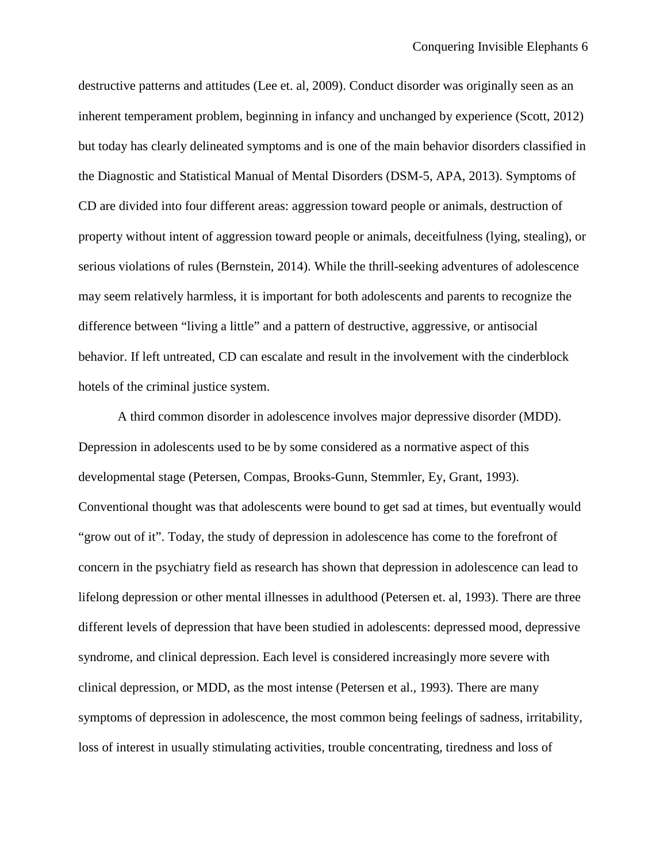destructive patterns and attitudes (Lee et. al, 2009). Conduct disorder was originally seen as an inherent temperament problem, beginning in infancy and unchanged by experience (Scott, 2012) but today has clearly delineated symptoms and is one of the main behavior disorders classified in the Diagnostic and Statistical Manual of Mental Disorders (DSM-5, APA, 2013). Symptoms of CD are divided into four different areas: aggression toward people or animals, destruction of property without intent of aggression toward people or animals, deceitfulness (lying, stealing), or serious violations of rules (Bernstein, 2014). While the thrill-seeking adventures of adolescence may seem relatively harmless, it is important for both adolescents and parents to recognize the difference between "living a little" and a pattern of destructive, aggressive, or antisocial behavior. If left untreated, CD can escalate and result in the involvement with the cinderblock hotels of the criminal justice system.

A third common disorder in adolescence involves major depressive disorder (MDD). Depression in adolescents used to be by some considered as a normative aspect of this developmental stage (Petersen, Compas, Brooks-Gunn, Stemmler, Ey, Grant, 1993). Conventional thought was that adolescents were bound to get sad at times, but eventually would "grow out of it". Today, the study of depression in adolescence has come to the forefront of concern in the psychiatry field as research has shown that depression in adolescence can lead to lifelong depression or other mental illnesses in adulthood (Petersen et. al, 1993). There are three different levels of depression that have been studied in adolescents: depressed mood, depressive syndrome, and clinical depression. Each level is considered increasingly more severe with clinical depression, or MDD, as the most intense (Petersen et al., 1993). There are many symptoms of depression in adolescence, the most common being feelings of sadness, irritability, loss of interest in usually stimulating activities, trouble concentrating, tiredness and loss of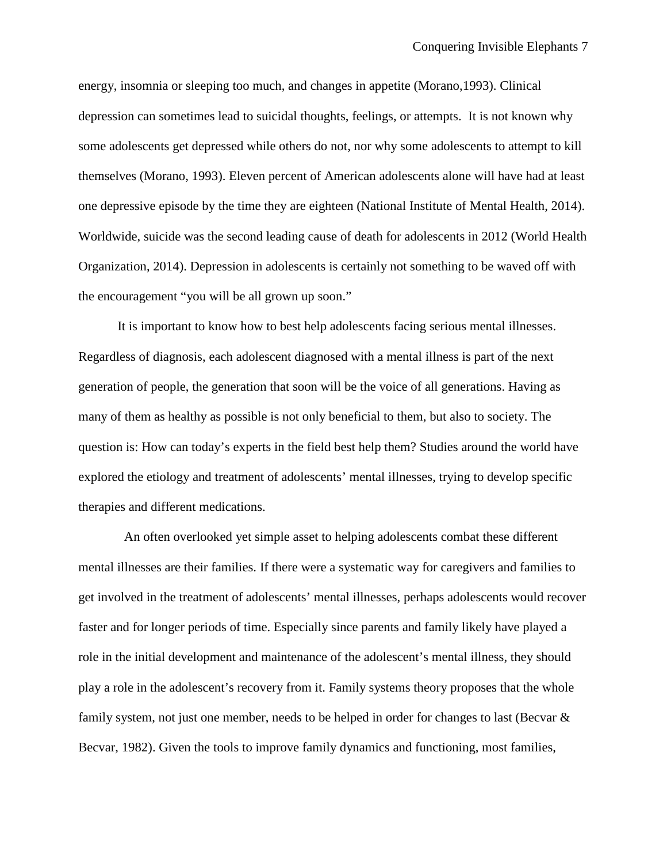energy, insomnia or sleeping too much, and changes in appetite (Morano,1993). Clinical depression can sometimes lead to suicidal thoughts, feelings, or attempts. It is not known why some adolescents get depressed while others do not, nor why some adolescents to attempt to kill themselves (Morano, 1993). Eleven percent of American adolescents alone will have had at least one depressive episode by the time they are eighteen (National Institute of Mental Health, 2014). Worldwide, suicide was the second leading cause of death for adolescents in 2012 (World Health Organization, 2014). Depression in adolescents is certainly not something to be waved off with the encouragement "you will be all grown up soon."

It is important to know how to best help adolescents facing serious mental illnesses. Regardless of diagnosis, each adolescent diagnosed with a mental illness is part of the next generation of people, the generation that soon will be the voice of all generations. Having as many of them as healthy as possible is not only beneficial to them, but also to society. The question is: How can today's experts in the field best help them? Studies around the world have explored the etiology and treatment of adolescents' mental illnesses, trying to develop specific therapies and different medications.

An often overlooked yet simple asset to helping adolescents combat these different mental illnesses are their families. If there were a systematic way for caregivers and families to get involved in the treatment of adolescents' mental illnesses, perhaps adolescents would recover faster and for longer periods of time. Especially since parents and family likely have played a role in the initial development and maintenance of the adolescent's mental illness, they should play a role in the adolescent's recovery from it. Family systems theory proposes that the whole family system, not just one member, needs to be helped in order for changes to last (Becvar & Becvar, 1982). Given the tools to improve family dynamics and functioning, most families,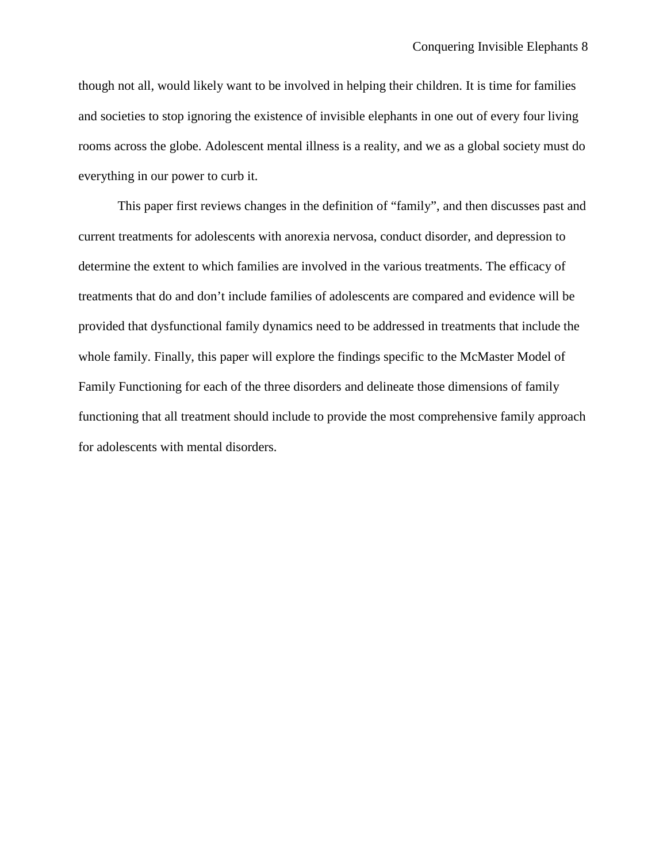though not all, would likely want to be involved in helping their children. It is time for families and societies to stop ignoring the existence of invisible elephants in one out of every four living rooms across the globe. Adolescent mental illness is a reality, and we as a global society must do everything in our power to curb it.

This paper first reviews changes in the definition of "family", and then discusses past and current treatments for adolescents with anorexia nervosa, conduct disorder, and depression to determine the extent to which families are involved in the various treatments. The efficacy of treatments that do and don't include families of adolescents are compared and evidence will be provided that dysfunctional family dynamics need to be addressed in treatments that include the whole family. Finally, this paper will explore the findings specific to the McMaster Model of Family Functioning for each of the three disorders and delineate those dimensions of family functioning that all treatment should include to provide the most comprehensive family approach for adolescents with mental disorders.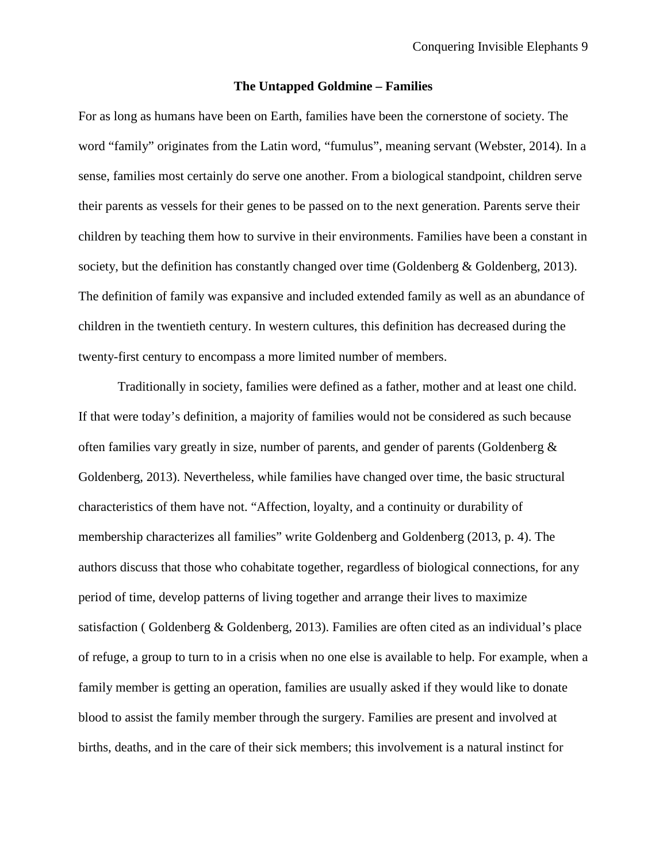### **The Untapped Goldmine – Families**

For as long as humans have been on Earth, families have been the cornerstone of society. The word "family" originates from the Latin word, "fumulus", meaning servant (Webster, 2014). In a sense, families most certainly do serve one another. From a biological standpoint, children serve their parents as vessels for their genes to be passed on to the next generation. Parents serve their children by teaching them how to survive in their environments. Families have been a constant in society, but the definition has constantly changed over time (Goldenberg & Goldenberg, 2013). The definition of family was expansive and included extended family as well as an abundance of children in the twentieth century. In western cultures, this definition has decreased during the twenty-first century to encompass a more limited number of members.

Traditionally in society, families were defined as a father, mother and at least one child. If that were today's definition, a majority of families would not be considered as such because often families vary greatly in size, number of parents, and gender of parents (Goldenberg  $\&$ Goldenberg, 2013). Nevertheless, while families have changed over time, the basic structural characteristics of them have not. "Affection, loyalty, and a continuity or durability of membership characterizes all families" write Goldenberg and Goldenberg (2013, p. 4). The authors discuss that those who cohabitate together, regardless of biological connections, for any period of time, develop patterns of living together and arrange their lives to maximize satisfaction ( Goldenberg & Goldenberg, 2013). Families are often cited as an individual's place of refuge, a group to turn to in a crisis when no one else is available to help. For example, when a family member is getting an operation, families are usually asked if they would like to donate blood to assist the family member through the surgery. Families are present and involved at births, deaths, and in the care of their sick members; this involvement is a natural instinct for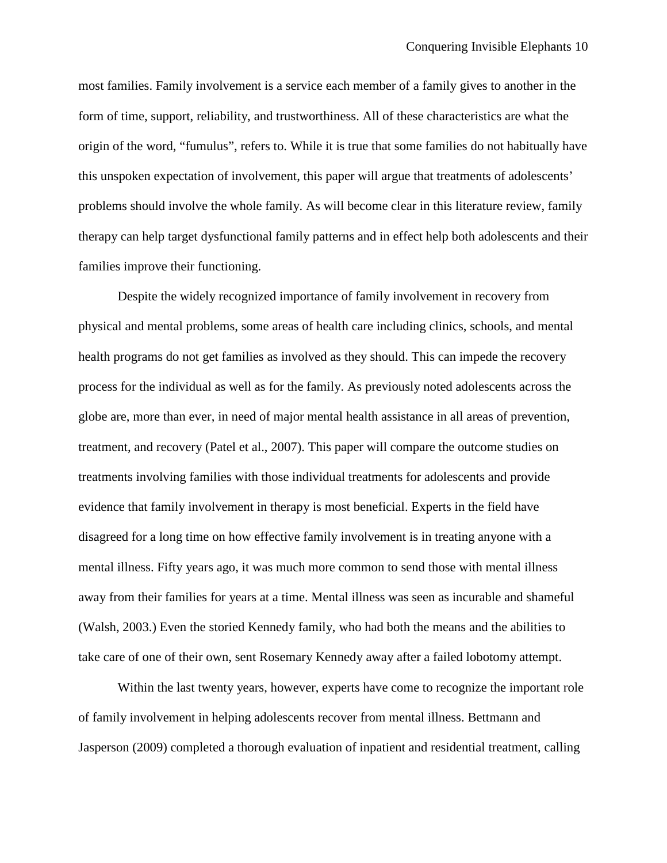most families. Family involvement is a service each member of a family gives to another in the form of time, support, reliability, and trustworthiness. All of these characteristics are what the origin of the word, "fumulus", refers to. While it is true that some families do not habitually have this unspoken expectation of involvement, this paper will argue that treatments of adolescents' problems should involve the whole family. As will become clear in this literature review, family therapy can help target dysfunctional family patterns and in effect help both adolescents and their families improve their functioning.

Despite the widely recognized importance of family involvement in recovery from physical and mental problems, some areas of health care including clinics, schools, and mental health programs do not get families as involved as they should. This can impede the recovery process for the individual as well as for the family. As previously noted adolescents across the globe are, more than ever, in need of major mental health assistance in all areas of prevention, treatment, and recovery (Patel et al., 2007). This paper will compare the outcome studies on treatments involving families with those individual treatments for adolescents and provide evidence that family involvement in therapy is most beneficial. Experts in the field have disagreed for a long time on how effective family involvement is in treating anyone with a mental illness. Fifty years ago, it was much more common to send those with mental illness away from their families for years at a time. Mental illness was seen as incurable and shameful (Walsh, 2003.) Even the storied Kennedy family, who had both the means and the abilities to take care of one of their own, sent Rosemary Kennedy away after a failed lobotomy attempt.

Within the last twenty years, however, experts have come to recognize the important role of family involvement in helping adolescents recover from mental illness. Bettmann and Jasperson (2009) completed a thorough evaluation of inpatient and residential treatment, calling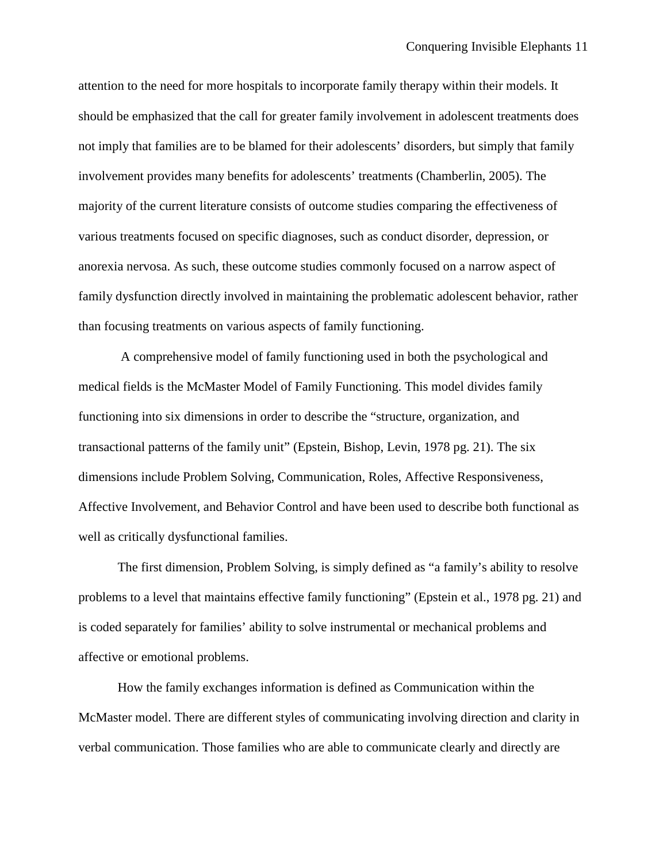attention to the need for more hospitals to incorporate family therapy within their models. It should be emphasized that the call for greater family involvement in adolescent treatments does not imply that families are to be blamed for their adolescents' disorders, but simply that family involvement provides many benefits for adolescents' treatments (Chamberlin, 2005). The majority of the current literature consists of outcome studies comparing the effectiveness of various treatments focused on specific diagnoses, such as conduct disorder, depression, or anorexia nervosa. As such, these outcome studies commonly focused on a narrow aspect of family dysfunction directly involved in maintaining the problematic adolescent behavior, rather than focusing treatments on various aspects of family functioning.

A comprehensive model of family functioning used in both the psychological and medical fields is the McMaster Model of Family Functioning. This model divides family functioning into six dimensions in order to describe the "structure, organization, and transactional patterns of the family unit" (Epstein, Bishop, Levin, 1978 pg. 21). The six dimensions include Problem Solving, Communication, Roles, Affective Responsiveness, Affective Involvement, and Behavior Control and have been used to describe both functional as well as critically dysfunctional families.

The first dimension, Problem Solving, is simply defined as "a family's ability to resolve problems to a level that maintains effective family functioning" (Epstein et al., 1978 pg. 21) and is coded separately for families' ability to solve instrumental or mechanical problems and affective or emotional problems.

How the family exchanges information is defined as Communication within the McMaster model. There are different styles of communicating involving direction and clarity in verbal communication. Those families who are able to communicate clearly and directly are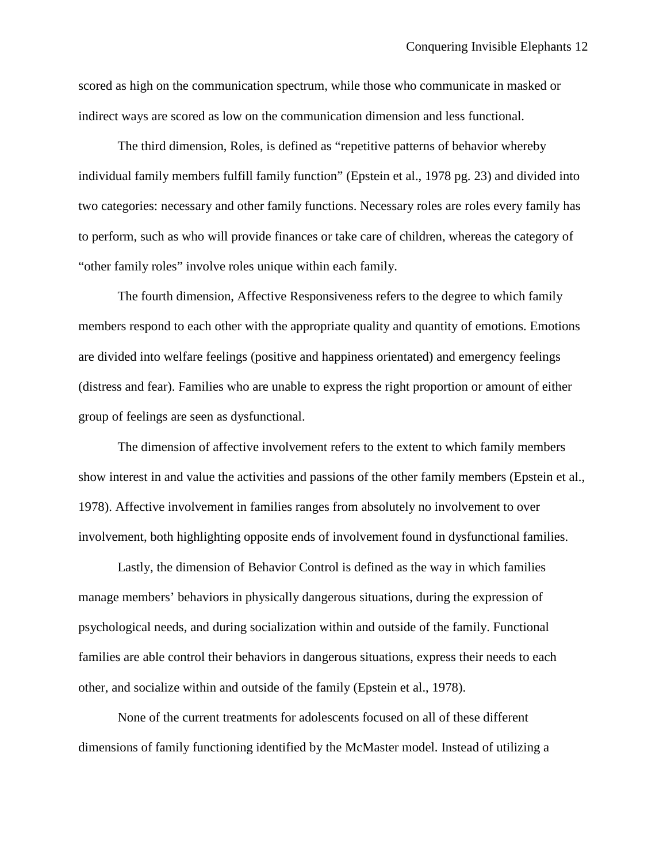scored as high on the communication spectrum, while those who communicate in masked or indirect ways are scored as low on the communication dimension and less functional.

The third dimension, Roles, is defined as "repetitive patterns of behavior whereby individual family members fulfill family function" (Epstein et al., 1978 pg. 23) and divided into two categories: necessary and other family functions. Necessary roles are roles every family has to perform, such as who will provide finances or take care of children, whereas the category of "other family roles" involve roles unique within each family.

The fourth dimension, Affective Responsiveness refers to the degree to which family members respond to each other with the appropriate quality and quantity of emotions. Emotions are divided into welfare feelings (positive and happiness orientated) and emergency feelings (distress and fear). Families who are unable to express the right proportion or amount of either group of feelings are seen as dysfunctional.

The dimension of affective involvement refers to the extent to which family members show interest in and value the activities and passions of the other family members (Epstein et al., 1978). Affective involvement in families ranges from absolutely no involvement to over involvement, both highlighting opposite ends of involvement found in dysfunctional families.

Lastly, the dimension of Behavior Control is defined as the way in which families manage members' behaviors in physically dangerous situations, during the expression of psychological needs, and during socialization within and outside of the family. Functional families are able control their behaviors in dangerous situations, express their needs to each other, and socialize within and outside of the family (Epstein et al., 1978).

<span id="page-12-0"></span>None of the current treatments for adolescents focused on all of these different dimensions of family functioning identified by the McMaster model. Instead of utilizing a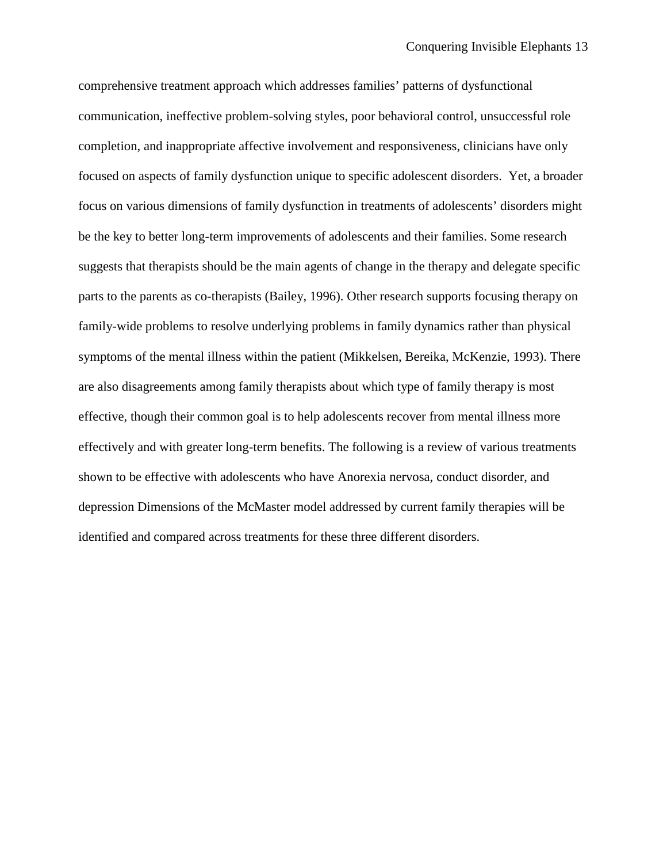comprehensive treatment approach which addresses families' patterns of dysfunctional communication, ineffective problem-solving styles, poor behavioral control, unsuccessful role completion, and inappropriate affective involvement and responsiveness, clinicians have only focused on aspects of family dysfunction unique to specific adolescent disorders. Yet, a broader focus on various dimensions of family dysfunction in treatments of adolescents' disorders might be the key to better long-term improvements of adolescents and their families. Some research suggests that therapists should be the main agents of change in the therapy and delegate specific parts to the parents as co-therapists (Bailey, 1996). Other research supports focusing therapy on family-wide problems to resolve underlying problems in family dynamics rather than physical symptoms of the mental illness within the patient (Mikkelsen, Bereika, McKenzie, 1993). There are also disagreements among family therapists about which type of family therapy is most effective, though their common goal is to help adolescents recover from mental illness more effectively and with greater long-term benefits. The following is a review of various treatments shown to be effective with adolescents who have Anorexia nervosa, conduct disorder, and depression Dimensions of the McMaster model addressed by current family therapies will be identified and compared across treatments for these three different disorders.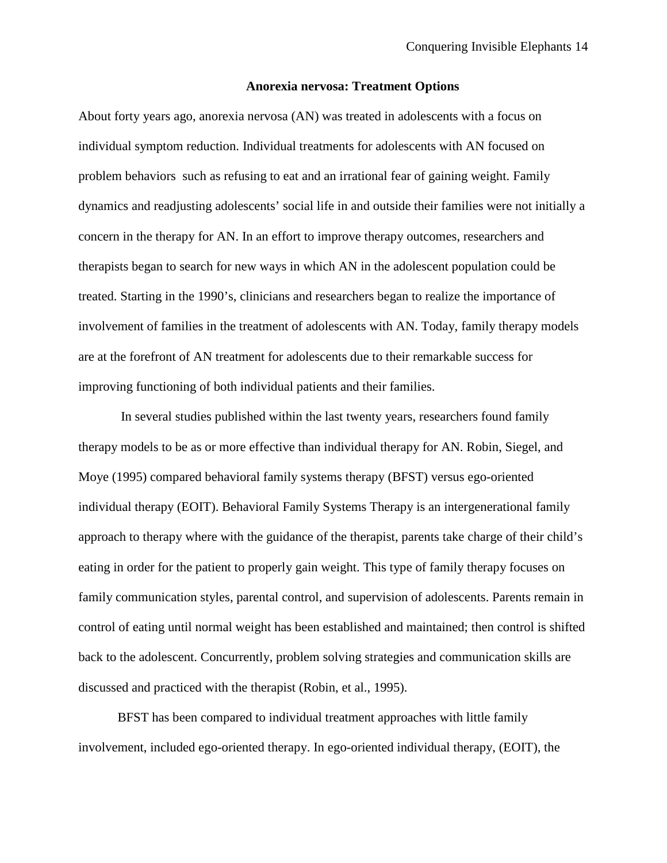### **Anorexia nervosa: Treatment Options**

About forty years ago, anorexia nervosa (AN) was treated in adolescents with a focus on individual symptom reduction. Individual treatments for adolescents with AN focused on problem behaviors such as refusing to eat and an irrational fear of gaining weight. Family dynamics and readjusting adolescents' social life in and outside their families were not initially a concern in the therapy for AN. In an effort to improve therapy outcomes, researchers and therapists began to search for new ways in which AN in the adolescent population could be treated. Starting in the 1990's, clinicians and researchers began to realize the importance of involvement of families in the treatment of adolescents with AN. Today, family therapy models are at the forefront of AN treatment for adolescents due to their remarkable success for improving functioning of both individual patients and their families.

In several studies published within the last twenty years, researchers found family therapy models to be as or more effective than individual therapy for AN. Robin, Siegel, and Moye (1995) compared behavioral family systems therapy (BFST) versus ego-oriented individual therapy (EOIT). Behavioral Family Systems Therapy is an intergenerational family approach to therapy where with the guidance of the therapist, parents take charge of their child's eating in order for the patient to properly gain weight. This type of family therapy focuses on family communication styles, parental control, and supervision of adolescents. Parents remain in control of eating until normal weight has been established and maintained; then control is shifted back to the adolescent. Concurrently, problem solving strategies and communication skills are discussed and practiced with the therapist (Robin, et al., 1995).

BFST has been compared to individual treatment approaches with little family involvement, included ego-oriented therapy. In ego-oriented individual therapy, (EOIT), the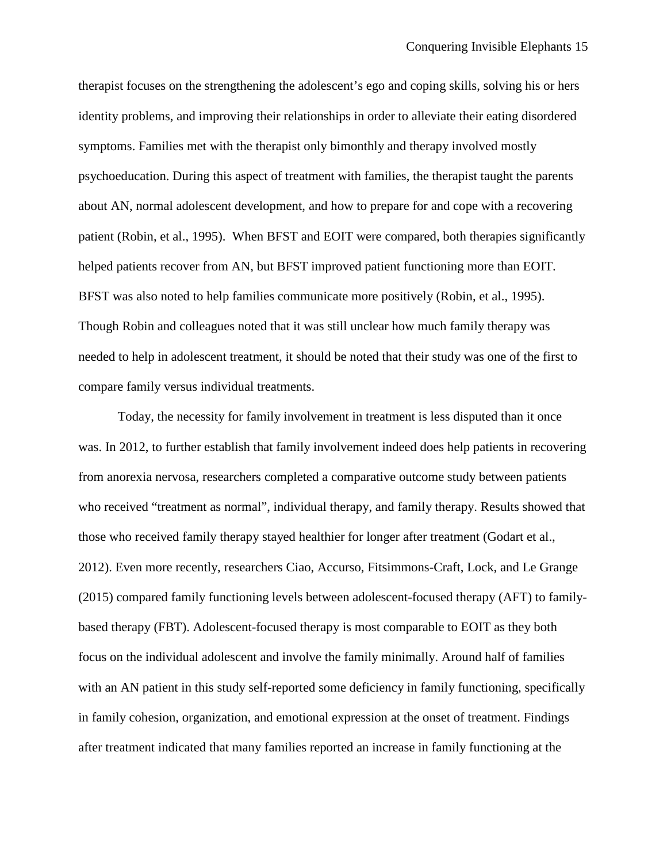therapist focuses on the strengthening the adolescent's ego and coping skills, solving his or hers identity problems, and improving their relationships in order to alleviate their eating disordered symptoms. Families met with the therapist only bimonthly and therapy involved mostly psychoeducation. During this aspect of treatment with families, the therapist taught the parents about AN, normal adolescent development, and how to prepare for and cope with a recovering patient (Robin, et al., 1995). When BFST and EOIT were compared, both therapies significantly helped patients recover from AN, but BFST improved patient functioning more than EOIT. BFST was also noted to help families communicate more positively (Robin, et al., 1995). Though Robin and colleagues noted that it was still unclear how much family therapy was needed to help in adolescent treatment, it should be noted that their study was one of the first to compare family versus individual treatments.

 Today, the necessity for family involvement in treatment is less disputed than it once was. In 2012, to further establish that family involvement indeed does help patients in recovering from anorexia nervosa, researchers completed a comparative outcome study between patients who received "treatment as normal", individual therapy, and family therapy. Results showed that those who received family therapy stayed healthier for longer after treatment (Godart et al., 2012). Even more recently, researchers Ciao, Accurso, Fitsimmons-Craft, Lock, and Le Grange (2015) compared family functioning levels between adolescent-focused therapy (AFT) to familybased therapy (FBT). Adolescent-focused therapy is most comparable to EOIT as they both focus on the individual adolescent and involve the family minimally. Around half of families with an AN patient in this study self-reported some deficiency in family functioning, specifically in family cohesion, organization, and emotional expression at the onset of treatment. Findings after treatment indicated that many families reported an increase in family functioning at the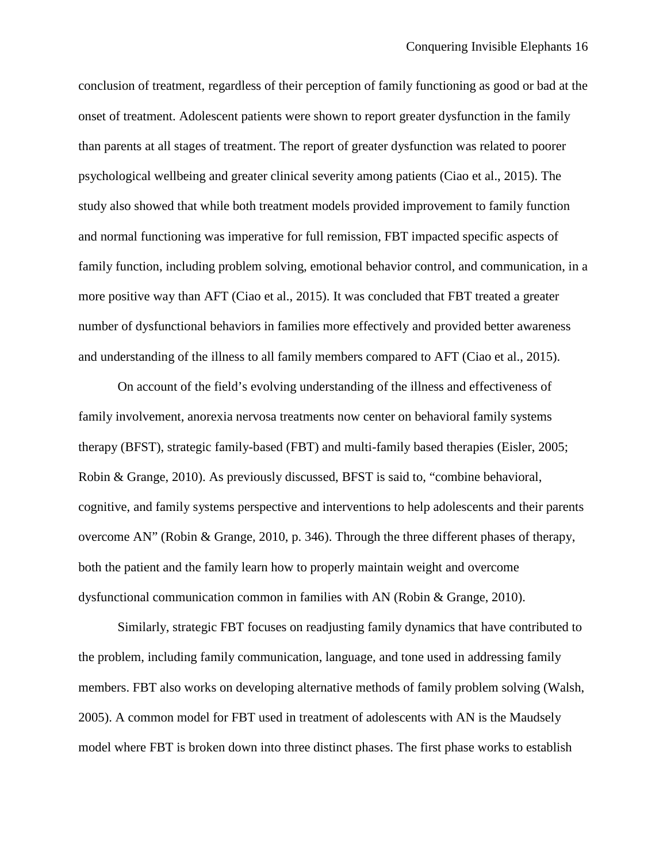conclusion of treatment, regardless of their perception of family functioning as good or bad at the onset of treatment. Adolescent patients were shown to report greater dysfunction in the family than parents at all stages of treatment. The report of greater dysfunction was related to poorer psychological wellbeing and greater clinical severity among patients (Ciao et al., 2015). The study also showed that while both treatment models provided improvement to family function and normal functioning was imperative for full remission, FBT impacted specific aspects of family function, including problem solving, emotional behavior control, and communication, in a more positive way than AFT (Ciao et al., 2015). It was concluded that FBT treated a greater number of dysfunctional behaviors in families more effectively and provided better awareness and understanding of the illness to all family members compared to AFT (Ciao et al., 2015).

On account of the field's evolving understanding of the illness and effectiveness of family involvement, anorexia nervosa treatments now center on behavioral family systems therapy (BFST), strategic family-based (FBT) and multi-family based therapies (Eisler, 2005; Robin & Grange, 2010). As previously discussed, BFST is said to, "combine behavioral, cognitive, and family systems perspective and interventions to help adolescents and their parents overcome AN" (Robin & Grange, 2010, p. 346). Through the three different phases of therapy, both the patient and the family learn how to properly maintain weight and overcome dysfunctional communication common in families with AN (Robin & Grange, 2010).

Similarly, strategic FBT focuses on readjusting family dynamics that have contributed to the problem, including family communication, language, and tone used in addressing family members. FBT also works on developing alternative methods of family problem solving (Walsh, 2005). A common model for FBT used in treatment of adolescents with AN is the Maudsely model where FBT is broken down into three distinct phases. The first phase works to establish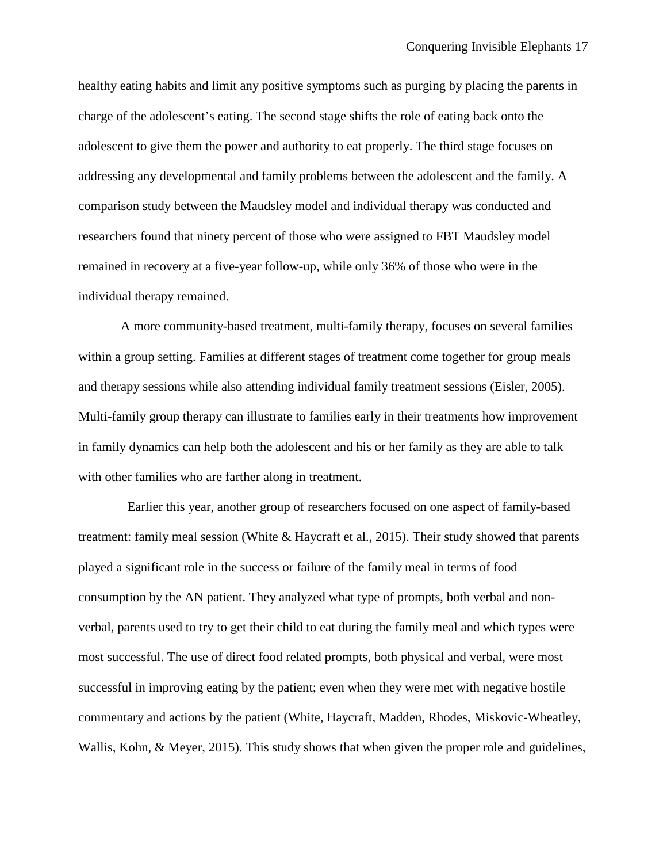healthy eating habits and limit any positive symptoms such as purging by placing the parents in charge of the adolescent's eating. The second stage shifts the role of eating back onto the adolescent to give them the power and authority to eat properly. The third stage focuses on addressing any developmental and family problems between the adolescent and the family. A comparison study between the Maudsley model and individual therapy was conducted and researchers found that ninety percent of those who were assigned to FBT Maudsley model remained in recovery at a five-year follow-up, while only 36% of those who were in the individual therapy remained.

A more community-based treatment, multi-family therapy, focuses on several families within a group setting. Families at different stages of treatment come together for group meals and therapy sessions while also attending individual family treatment sessions (Eisler, 2005). Multi-family group therapy can illustrate to families early in their treatments how improvement in family dynamics can help both the adolescent and his or her family as they are able to talk with other families who are farther along in treatment.

 Earlier this year, another group of researchers focused on one aspect of family-based treatment: family meal session (White & Haycraft et al., 2015). Their study showed that parents played a significant role in the success or failure of the family meal in terms of food consumption by the AN patient. They analyzed what type of prompts, both verbal and nonverbal, parents used to try to get their child to eat during the family meal and which types were most successful. The use of direct food related prompts, both physical and verbal, were most successful in improving eating by the patient; even when they were met with negative hostile commentary and actions by the patient (White, Haycraft, Madden, Rhodes, Miskovic-Wheatley, Wallis, Kohn, & Meyer, 2015). This study shows that when given the proper role and guidelines,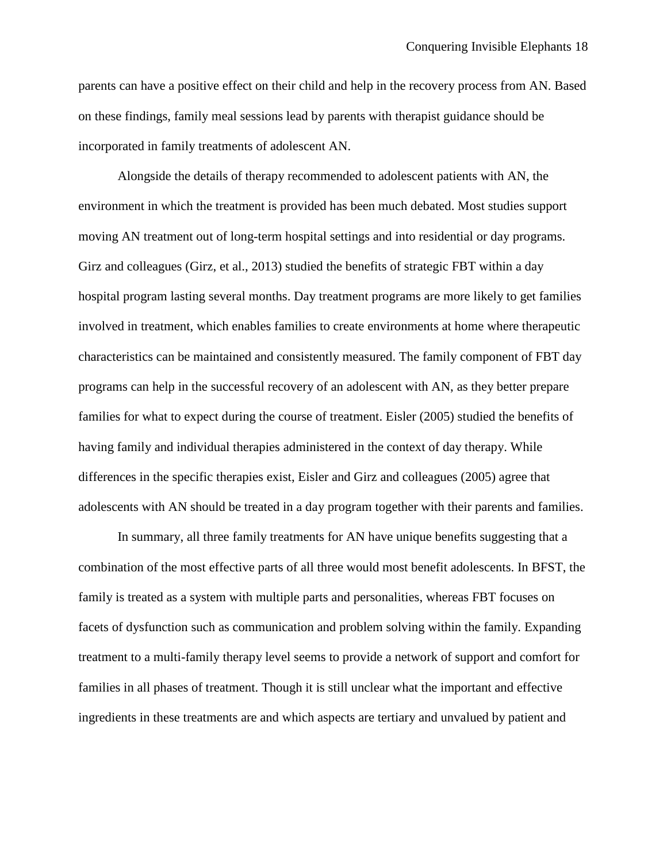parents can have a positive effect on their child and help in the recovery process from AN. Based on these findings, family meal sessions lead by parents with therapist guidance should be incorporated in family treatments of adolescent AN.

Alongside the details of therapy recommended to adolescent patients with AN, the environment in which the treatment is provided has been much debated. Most studies support moving AN treatment out of long-term hospital settings and into residential or day programs. Girz and colleagues (Girz, et al., 2013) studied the benefits of strategic FBT within a day hospital program lasting several months. Day treatment programs are more likely to get families involved in treatment, which enables families to create environments at home where therapeutic characteristics can be maintained and consistently measured. The family component of FBT day programs can help in the successful recovery of an adolescent with AN, as they better prepare families for what to expect during the course of treatment. Eisler (2005) studied the benefits of having family and individual therapies administered in the context of day therapy. While differences in the specific therapies exist, Eisler and Girz and colleagues (2005) agree that adolescents with AN should be treated in a day program together with their parents and families.

In summary, all three family treatments for AN have unique benefits suggesting that a combination of the most effective parts of all three would most benefit adolescents. In BFST, the family is treated as a system with multiple parts and personalities, whereas FBT focuses on facets of dysfunction such as communication and problem solving within the family. Expanding treatment to a multi-family therapy level seems to provide a network of support and comfort for families in all phases of treatment. Though it is still unclear what the important and effective ingredients in these treatments are and which aspects are tertiary and unvalued by patient and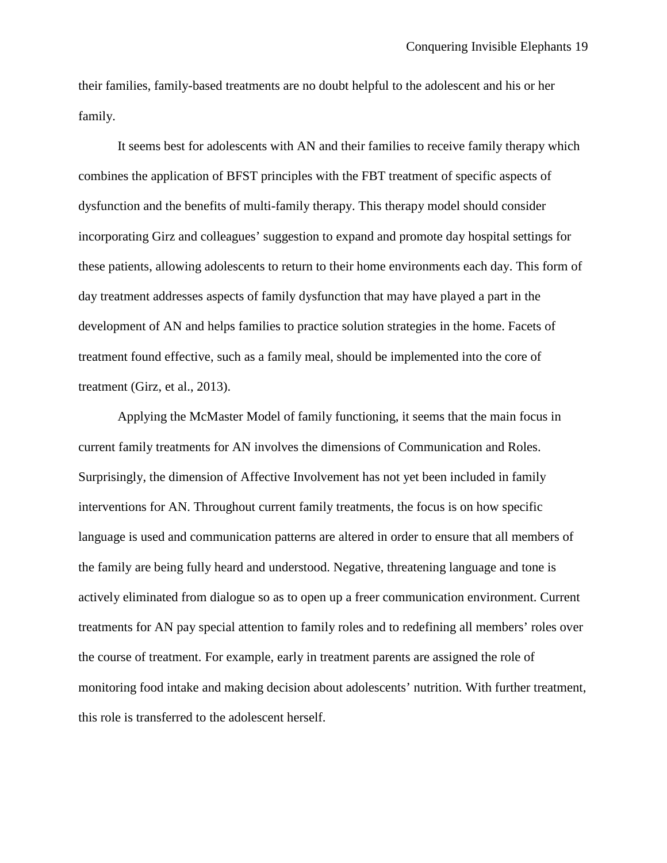their families, family-based treatments are no doubt helpful to the adolescent and his or her family.

It seems best for adolescents with AN and their families to receive family therapy which combines the application of BFST principles with the FBT treatment of specific aspects of dysfunction and the benefits of multi-family therapy. This therapy model should consider incorporating Girz and colleagues' suggestion to expand and promote day hospital settings for these patients, allowing adolescents to return to their home environments each day. This form of day treatment addresses aspects of family dysfunction that may have played a part in the development of AN and helps families to practice solution strategies in the home. Facets of treatment found effective, such as a family meal, should be implemented into the core of treatment (Girz, et al., 2013).

Applying the McMaster Model of family functioning, it seems that the main focus in current family treatments for AN involves the dimensions of Communication and Roles. Surprisingly, the dimension of Affective Involvement has not yet been included in family interventions for AN. Throughout current family treatments, the focus is on how specific language is used and communication patterns are altered in order to ensure that all members of the family are being fully heard and understood. Negative, threatening language and tone is actively eliminated from dialogue so as to open up a freer communication environment. Current treatments for AN pay special attention to family roles and to redefining all members' roles over the course of treatment. For example, early in treatment parents are assigned the role of monitoring food intake and making decision about adolescents' nutrition. With further treatment, this role is transferred to the adolescent herself.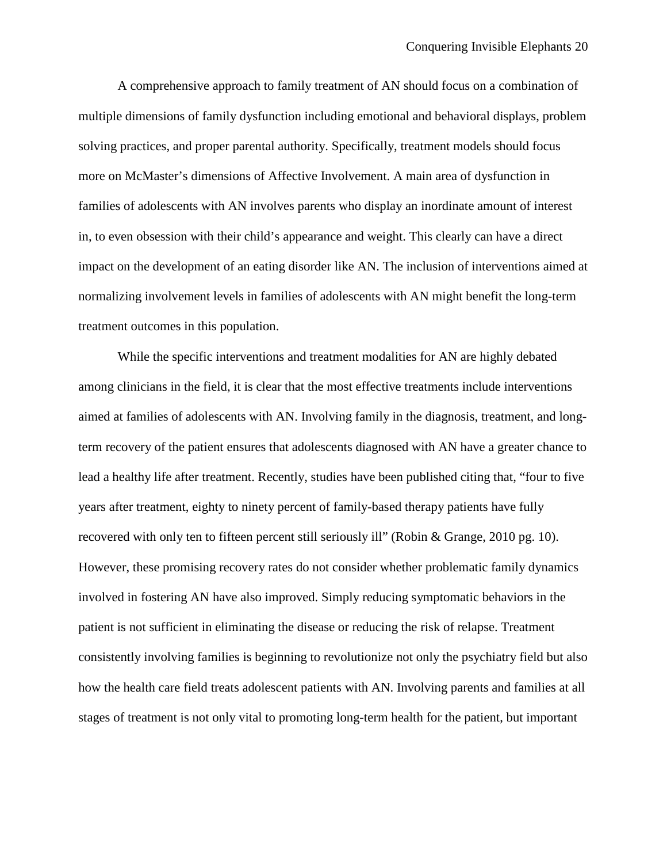A comprehensive approach to family treatment of AN should focus on a combination of multiple dimensions of family dysfunction including emotional and behavioral displays, problem solving practices, and proper parental authority. Specifically, treatment models should focus more on McMaster's dimensions of Affective Involvement. A main area of dysfunction in families of adolescents with AN involves parents who display an inordinate amount of interest in, to even obsession with their child's appearance and weight. This clearly can have a direct impact on the development of an eating disorder like AN. The inclusion of interventions aimed at normalizing involvement levels in families of adolescents with AN might benefit the long-term treatment outcomes in this population.

While the specific interventions and treatment modalities for AN are highly debated among clinicians in the field, it is clear that the most effective treatments include interventions aimed at families of adolescents with AN. Involving family in the diagnosis, treatment, and longterm recovery of the patient ensures that adolescents diagnosed with AN have a greater chance to lead a healthy life after treatment. Recently, studies have been published citing that, "four to five years after treatment, eighty to ninety percent of family-based therapy patients have fully recovered with only ten to fifteen percent still seriously ill" (Robin & Grange, 2010 pg. 10). However, these promising recovery rates do not consider whether problematic family dynamics involved in fostering AN have also improved. Simply reducing symptomatic behaviors in the patient is not sufficient in eliminating the disease or reducing the risk of relapse. Treatment consistently involving families is beginning to revolutionize not only the psychiatry field but also how the health care field treats adolescent patients with AN. Involving parents and families at all stages of treatment is not only vital to promoting long-term health for the patient, but important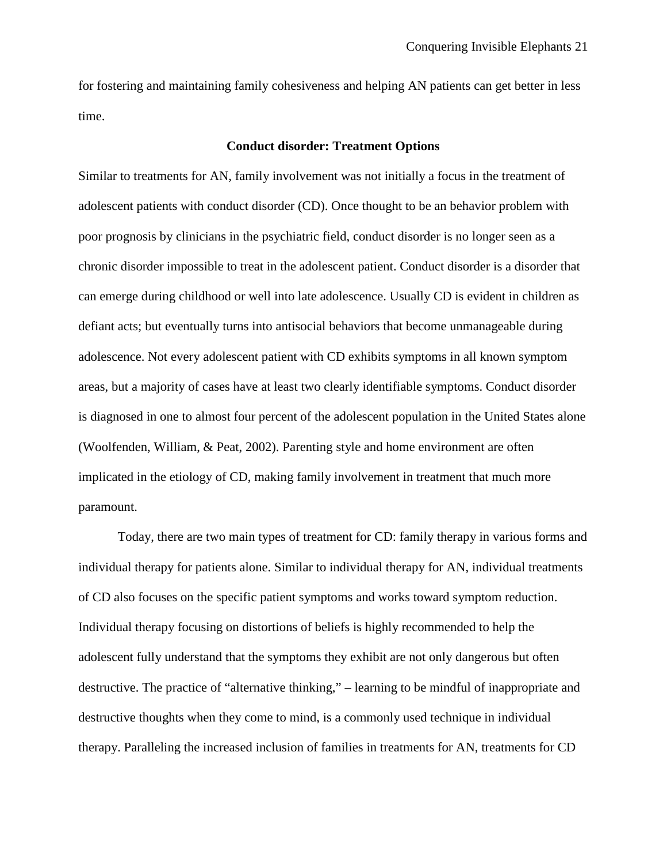for fostering and maintaining family cohesiveness and helping AN patients can get better in less time.

# **Conduct disorder: Treatment Options**

Similar to treatments for AN, family involvement was not initially a focus in the treatment of adolescent patients with conduct disorder (CD). Once thought to be an behavior problem with poor prognosis by clinicians in the psychiatric field, conduct disorder is no longer seen as a chronic disorder impossible to treat in the adolescent patient. Conduct disorder is a disorder that can emerge during childhood or well into late adolescence. Usually CD is evident in children as defiant acts; but eventually turns into antisocial behaviors that become unmanageable during adolescence. Not every adolescent patient with CD exhibits symptoms in all known symptom areas, but a majority of cases have at least two clearly identifiable symptoms. Conduct disorder is diagnosed in one to almost four percent of the adolescent population in the United States alone (Woolfenden, William, & Peat, 2002). Parenting style and home environment are often implicated in the etiology of CD, making family involvement in treatment that much more paramount.

Today, there are two main types of treatment for CD: family therapy in various forms and individual therapy for patients alone. Similar to individual therapy for AN, individual treatments of CD also focuses on the specific patient symptoms and works toward symptom reduction. Individual therapy focusing on distortions of beliefs is highly recommended to help the adolescent fully understand that the symptoms they exhibit are not only dangerous but often destructive. The practice of "alternative thinking," – learning to be mindful of inappropriate and destructive thoughts when they come to mind, is a commonly used technique in individual therapy. Paralleling the increased inclusion of families in treatments for AN, treatments for CD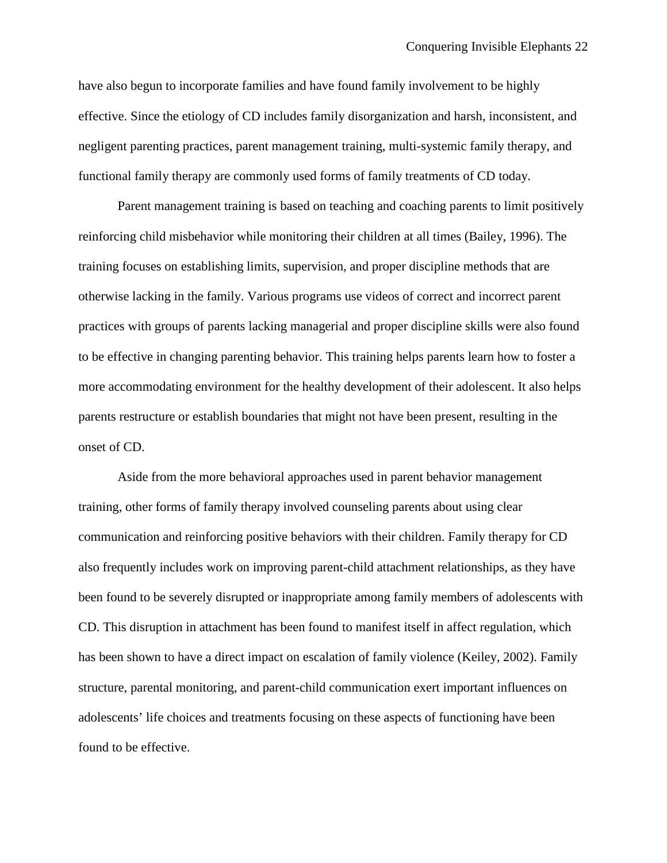have also begun to incorporate families and have found family involvement to be highly effective. Since the etiology of CD includes family disorganization and harsh, inconsistent, and negligent parenting practices, parent management training, multi-systemic family therapy, and functional family therapy are commonly used forms of family treatments of CD today.

Parent management training is based on teaching and coaching parents to limit positively reinforcing child misbehavior while monitoring their children at all times (Bailey, 1996). The training focuses on establishing limits, supervision, and proper discipline methods that are otherwise lacking in the family. Various programs use videos of correct and incorrect parent practices with groups of parents lacking managerial and proper discipline skills were also found to be effective in changing parenting behavior. This training helps parents learn how to foster a more accommodating environment for the healthy development of their adolescent. It also helps parents restructure or establish boundaries that might not have been present, resulting in the onset of CD.

Aside from the more behavioral approaches used in parent behavior management training, other forms of family therapy involved counseling parents about using clear communication and reinforcing positive behaviors with their children. Family therapy for CD also frequently includes work on improving parent-child attachment relationships, as they have been found to be severely disrupted or inappropriate among family members of adolescents with CD. This disruption in attachment has been found to manifest itself in affect regulation, which has been shown to have a direct impact on escalation of family violence (Keiley, 2002). Family structure, parental monitoring, and parent-child communication exert important influences on adolescents' life choices and treatments focusing on these aspects of functioning have been found to be effective.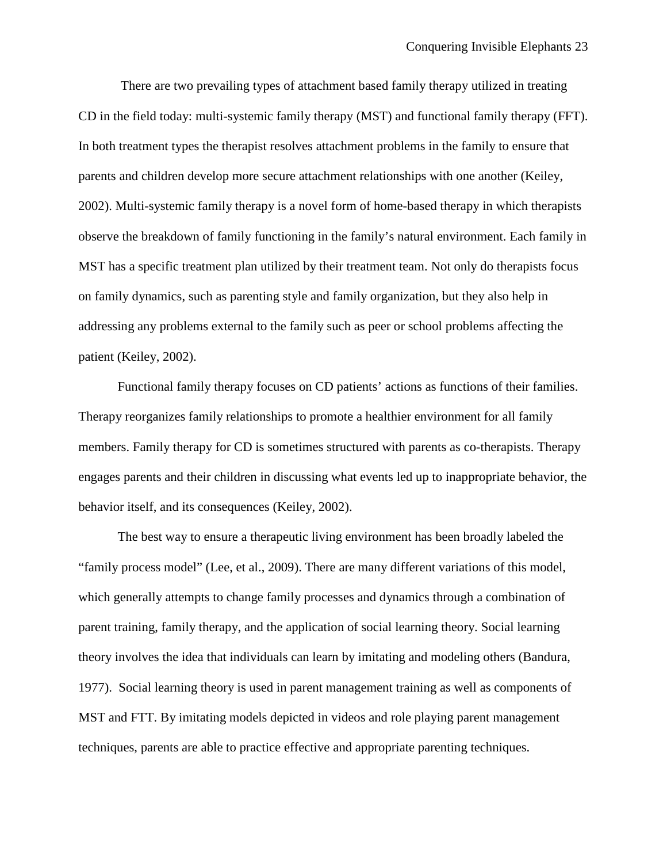There are two prevailing types of attachment based family therapy utilized in treating CD in the field today: multi-systemic family therapy (MST) and functional family therapy (FFT). In both treatment types the therapist resolves attachment problems in the family to ensure that parents and children develop more secure attachment relationships with one another (Keiley, 2002). Multi-systemic family therapy is a novel form of home-based therapy in which therapists observe the breakdown of family functioning in the family's natural environment. Each family in MST has a specific treatment plan utilized by their treatment team. Not only do therapists focus on family dynamics, such as parenting style and family organization, but they also help in addressing any problems external to the family such as peer or school problems affecting the patient (Keiley, 2002).

Functional family therapy focuses on CD patients' actions as functions of their families. Therapy reorganizes family relationships to promote a healthier environment for all family members. Family therapy for CD is sometimes structured with parents as co-therapists. Therapy engages parents and their children in discussing what events led up to inappropriate behavior, the behavior itself, and its consequences (Keiley, 2002).

The best way to ensure a therapeutic living environment has been broadly labeled the "family process model" (Lee, et al., 2009). There are many different variations of this model, which generally attempts to change family processes and dynamics through a combination of parent training, family therapy, and the application of social learning theory. Social learning theory involves the idea that individuals can learn by imitating and modeling others (Bandura, 1977). Social learning theory is used in parent management training as well as components of MST and FTT. By imitating models depicted in videos and role playing parent management techniques, parents are able to practice effective and appropriate parenting techniques.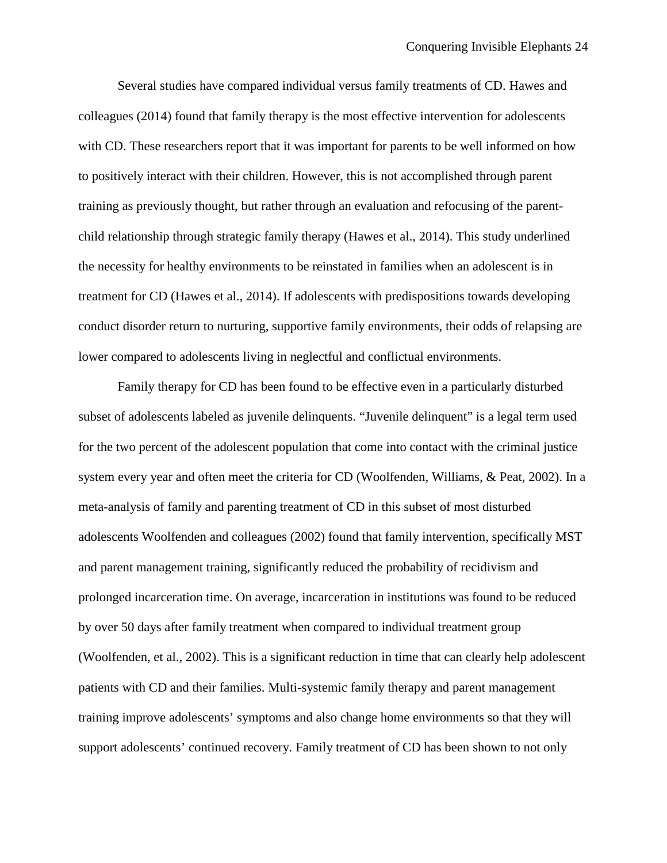Several studies have compared individual versus family treatments of CD. Hawes and colleagues (2014) found that family therapy is the most effective intervention for adolescents with CD. These researchers report that it was important for parents to be well informed on how to positively interact with their children. However, this is not accomplished through parent training as previously thought, but rather through an evaluation and refocusing of the parentchild relationship through strategic family therapy (Hawes et al., 2014). This study underlined the necessity for healthy environments to be reinstated in families when an adolescent is in treatment for CD (Hawes et al., 2014). If adolescents with predispositions towards developing conduct disorder return to nurturing, supportive family environments, their odds of relapsing are lower compared to adolescents living in neglectful and conflictual environments.

Family therapy for CD has been found to be effective even in a particularly disturbed subset of adolescents labeled as juvenile delinquents. "Juvenile delinquent" is a legal term used for the two percent of the adolescent population that come into contact with the criminal justice system every year and often meet the criteria for CD (Woolfenden, Williams, & Peat, 2002). In a meta-analysis of family and parenting treatment of CD in this subset of most disturbed adolescents Woolfenden and colleagues (2002) found that family intervention, specifically MST and parent management training, significantly reduced the probability of recidivism and prolonged incarceration time. On average, incarceration in institutions was found to be reduced by over 50 days after family treatment when compared to individual treatment group (Woolfenden, et al., 2002). This is a significant reduction in time that can clearly help adolescent patients with CD and their families. Multi-systemic family therapy and parent management training improve adolescents' symptoms and also change home environments so that they will support adolescents' continued recovery. Family treatment of CD has been shown to not only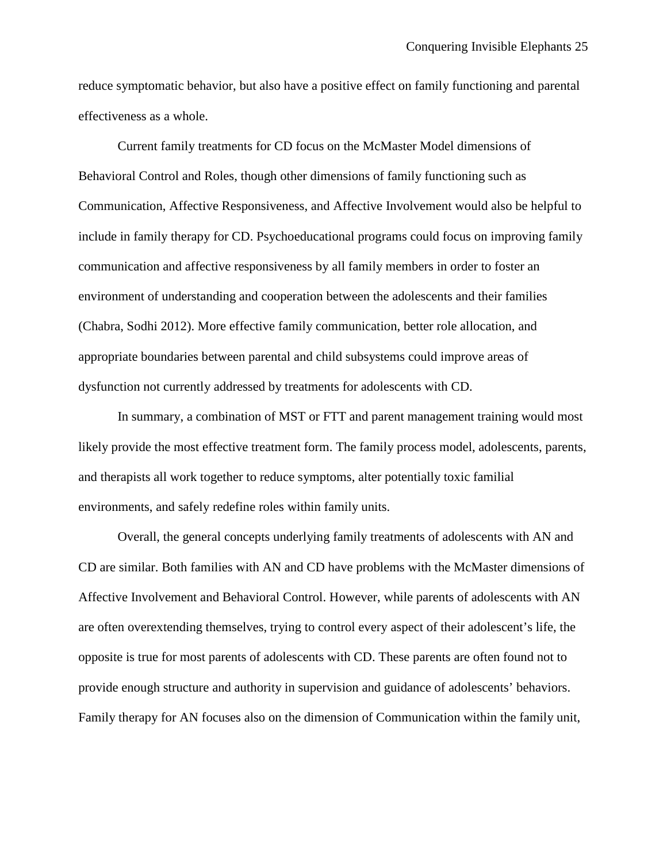reduce symptomatic behavior, but also have a positive effect on family functioning and parental effectiveness as a whole.

Current family treatments for CD focus on the McMaster Model dimensions of Behavioral Control and Roles, though other dimensions of family functioning such as Communication, Affective Responsiveness, and Affective Involvement would also be helpful to include in family therapy for CD. Psychoeducational programs could focus on improving family communication and affective responsiveness by all family members in order to foster an environment of understanding and cooperation between the adolescents and their families (Chabra, Sodhi 2012). More effective family communication, better role allocation, and appropriate boundaries between parental and child subsystems could improve areas of dysfunction not currently addressed by treatments for adolescents with CD.

In summary, a combination of MST or FTT and parent management training would most likely provide the most effective treatment form. The family process model, adolescents, parents, and therapists all work together to reduce symptoms, alter potentially toxic familial environments, and safely redefine roles within family units.

Overall, the general concepts underlying family treatments of adolescents with AN and CD are similar. Both families with AN and CD have problems with the McMaster dimensions of Affective Involvement and Behavioral Control. However, while parents of adolescents with AN are often overextending themselves, trying to control every aspect of their adolescent's life, the opposite is true for most parents of adolescents with CD. These parents are often found not to provide enough structure and authority in supervision and guidance of adolescents' behaviors. Family therapy for AN focuses also on the dimension of Communication within the family unit,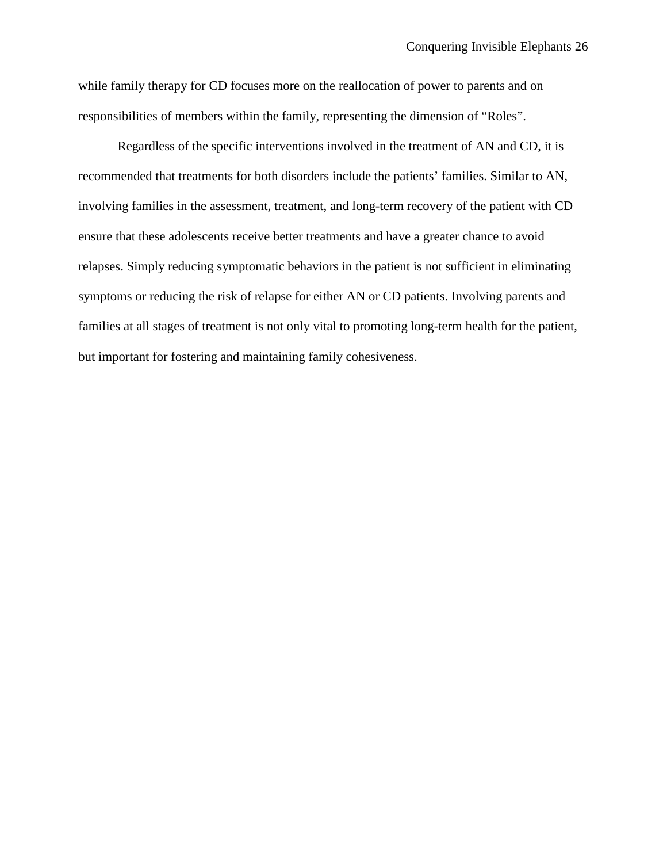while family therapy for CD focuses more on the reallocation of power to parents and on responsibilities of members within the family, representing the dimension of "Roles".

Regardless of the specific interventions involved in the treatment of AN and CD, it is recommended that treatments for both disorders include the patients' families. Similar to AN, involving families in the assessment, treatment, and long-term recovery of the patient with CD ensure that these adolescents receive better treatments and have a greater chance to avoid relapses. Simply reducing symptomatic behaviors in the patient is not sufficient in eliminating symptoms or reducing the risk of relapse for either AN or CD patients. Involving parents and families at all stages of treatment is not only vital to promoting long-term health for the patient, but important for fostering and maintaining family cohesiveness.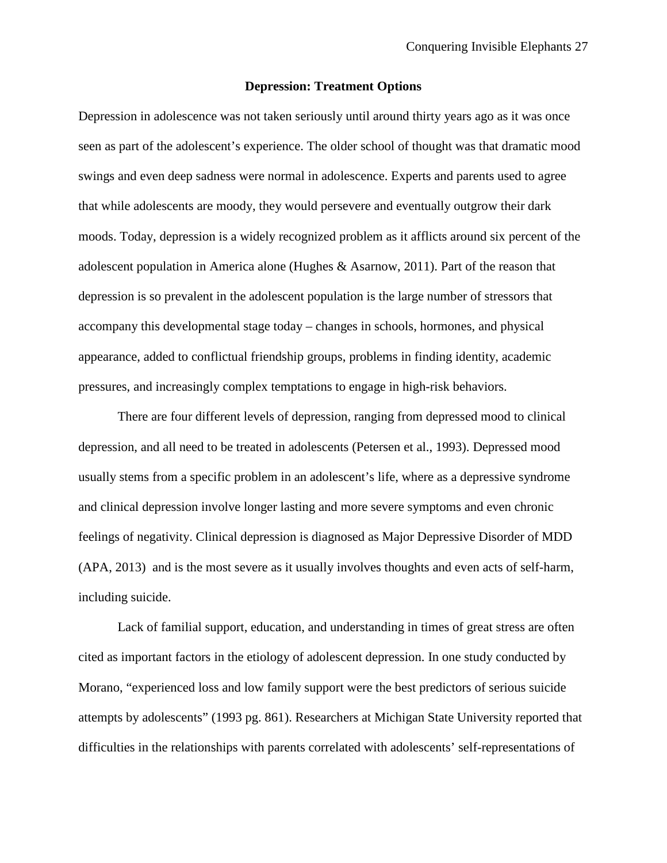### **Depression: Treatment Options**

Depression in adolescence was not taken seriously until around thirty years ago as it was once seen as part of the adolescent's experience. The older school of thought was that dramatic mood swings and even deep sadness were normal in adolescence. Experts and parents used to agree that while adolescents are moody, they would persevere and eventually outgrow their dark moods. Today, depression is a widely recognized problem as it afflicts around six percent of the adolescent population in America alone (Hughes & Asarnow, 2011). Part of the reason that depression is so prevalent in the adolescent population is the large number of stressors that accompany this developmental stage today – changes in schools, hormones, and physical appearance, added to conflictual friendship groups, problems in finding identity, academic pressures, and increasingly complex temptations to engage in high-risk behaviors.

There are four different levels of depression, ranging from depressed mood to clinical depression, and all need to be treated in adolescents (Petersen et al., 1993). Depressed mood usually stems from a specific problem in an adolescent's life, where as a depressive syndrome and clinical depression involve longer lasting and more severe symptoms and even chronic feelings of negativity. Clinical depression is diagnosed as Major Depressive Disorder of MDD (APA, 2013) and is the most severe as it usually involves thoughts and even acts of self-harm, including suicide.

Lack of familial support, education, and understanding in times of great stress are often cited as important factors in the etiology of adolescent depression. In one study conducted by Morano, "experienced loss and low family support were the best predictors of serious suicide attempts by adolescents" (1993 pg. 861). Researchers at Michigan State University reported that difficulties in the relationships with parents correlated with adolescents' self-representations of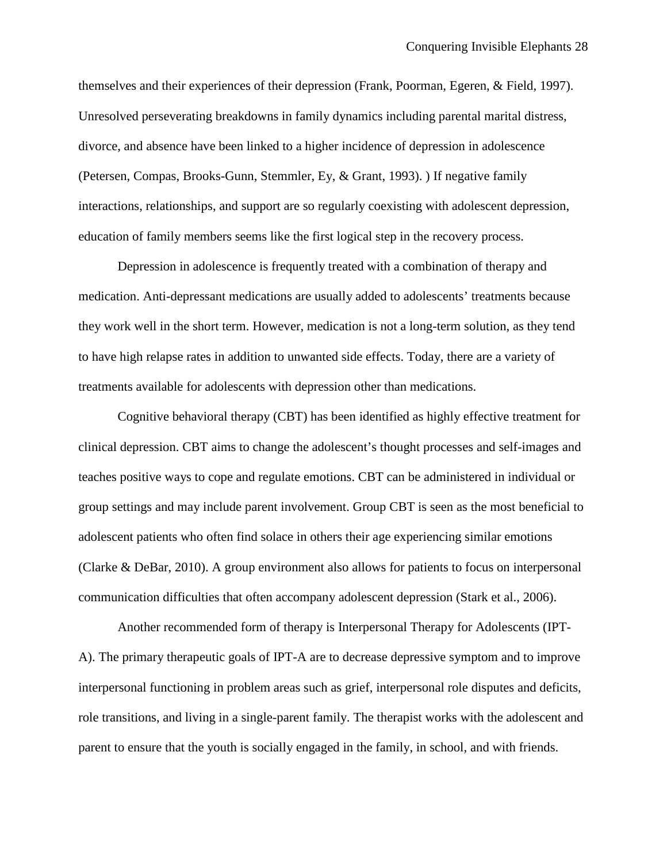themselves and their experiences of their depression (Frank, Poorman, Egeren, & Field, 1997). Unresolved perseverating breakdowns in family dynamics including parental marital distress, divorce, and absence have been linked to a higher incidence of depression in adolescence (Petersen, Compas, Brooks-Gunn, Stemmler, Ey, & Grant, 1993). ) If negative family interactions, relationships, and support are so regularly coexisting with adolescent depression, education of family members seems like the first logical step in the recovery process.

Depression in adolescence is frequently treated with a combination of therapy and medication. Anti-depressant medications are usually added to adolescents' treatments because they work well in the short term. However, medication is not a long-term solution, as they tend to have high relapse rates in addition to unwanted side effects. Today, there are a variety of treatments available for adolescents with depression other than medications.

Cognitive behavioral therapy (CBT) has been identified as highly effective treatment for clinical depression. CBT aims to change the adolescent's thought processes and self-images and teaches positive ways to cope and regulate emotions. CBT can be administered in individual or group settings and may include parent involvement. Group CBT is seen as the most beneficial to adolescent patients who often find solace in others their age experiencing similar emotions (Clarke & DeBar, 2010). A group environment also allows for patients to focus on interpersonal communication difficulties that often accompany adolescent depression (Stark et al., 2006).

Another recommended form of therapy is Interpersonal Therapy for Adolescents (IPT-A). The primary therapeutic goals of IPT-A are to decrease depressive symptom and to improve interpersonal functioning in problem areas such as grief, interpersonal role disputes and deficits, role transitions, and living in a single-parent family. The therapist works with the adolescent and parent to ensure that the youth is socially engaged in the family, in school, and with friends.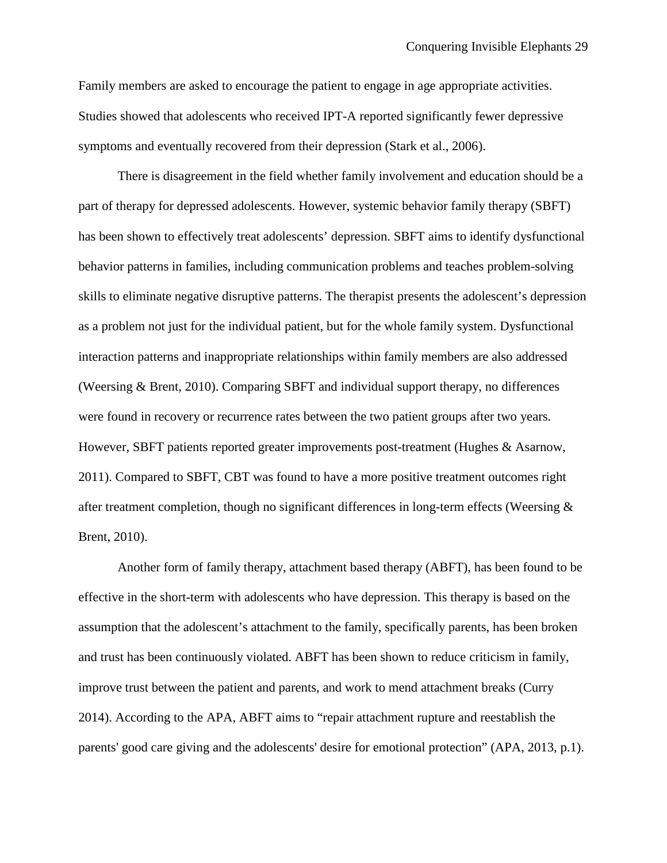Family members are asked to encourage the patient to engage in age appropriate activities. Studies showed that adolescents who received IPT-A reported significantly fewer depressive symptoms and eventually recovered from their depression (Stark et al., 2006).

There is disagreement in the field whether family involvement and education should be a part of therapy for depressed adolescents. However, systemic behavior family therapy (SBFT) has been shown to effectively treat adolescents' depression. SBFT aims to identify dysfunctional behavior patterns in families, including communication problems and teaches problem-solving skills to eliminate negative disruptive patterns. The therapist presents the adolescent's depression as a problem not just for the individual patient, but for the whole family system. Dysfunctional interaction patterns and inappropriate relationships within family members are also addressed (Weersing & Brent, 2010). Comparing SBFT and individual support therapy, no differences were found in recovery or recurrence rates between the two patient groups after two years. However, SBFT patients reported greater improvements post-treatment (Hughes & Asarnow, 2011). Compared to SBFT, CBT was found to have a more positive treatment outcomes right after treatment completion, though no significant differences in long-term effects (Weersing  $\&$ Brent, 2010).

Another form of family therapy, attachment based therapy (ABFT), has been found to be effective in the short-term with adolescents who have depression. This therapy is based on the assumption that the adolescent's attachment to the family, specifically parents, has been broken and trust has been continuously violated. ABFT has been shown to reduce criticism in family, improve trust between the patient and parents, and work to mend attachment breaks (Curry 2014). According to the APA, ABFT aims to "repair attachment rupture and reestablish the parents' good care giving and the adolescents' desire for emotional protection" (APA, 2013, p.1).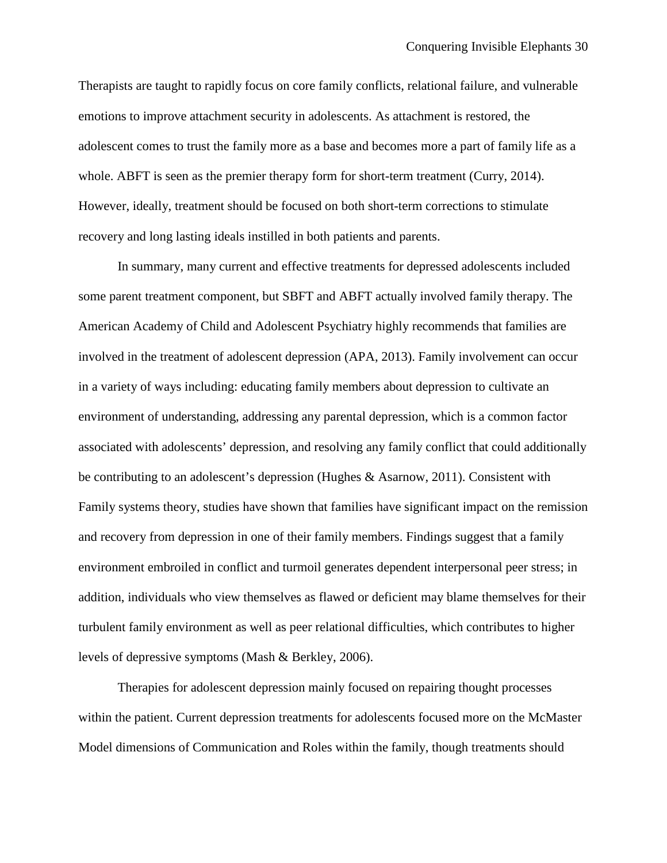Therapists are taught to rapidly focus on core family conflicts, relational failure, and vulnerable emotions to improve attachment security in adolescents. As attachment is restored, the adolescent comes to trust the family more as a base and becomes more a part of family life as a whole. ABFT is seen as the premier therapy form for short-term treatment (Curry, 2014). However, ideally, treatment should be focused on both short-term corrections to stimulate recovery and long lasting ideals instilled in both patients and parents.

In summary, many current and effective treatments for depressed adolescents included some parent treatment component, but SBFT and ABFT actually involved family therapy. The American Academy of Child and Adolescent Psychiatry highly recommends that families are involved in the treatment of adolescent depression (APA, 2013). Family involvement can occur in a variety of ways including: educating family members about depression to cultivate an environment of understanding, addressing any parental depression, which is a common factor associated with adolescents' depression, and resolving any family conflict that could additionally be contributing to an adolescent's depression (Hughes & Asarnow, 2011). Consistent with Family systems theory, studies have shown that families have significant impact on the remission and recovery from depression in one of their family members. Findings suggest that a family environment embroiled in conflict and turmoil generates dependent interpersonal peer stress; in addition, individuals who view themselves as flawed or deficient may blame themselves for their turbulent family environment as well as peer relational difficulties, which contributes to higher levels of depressive symptoms (Mash & Berkley, 2006).

Therapies for adolescent depression mainly focused on repairing thought processes within the patient. Current depression treatments for adolescents focused more on the McMaster Model dimensions of Communication and Roles within the family, though treatments should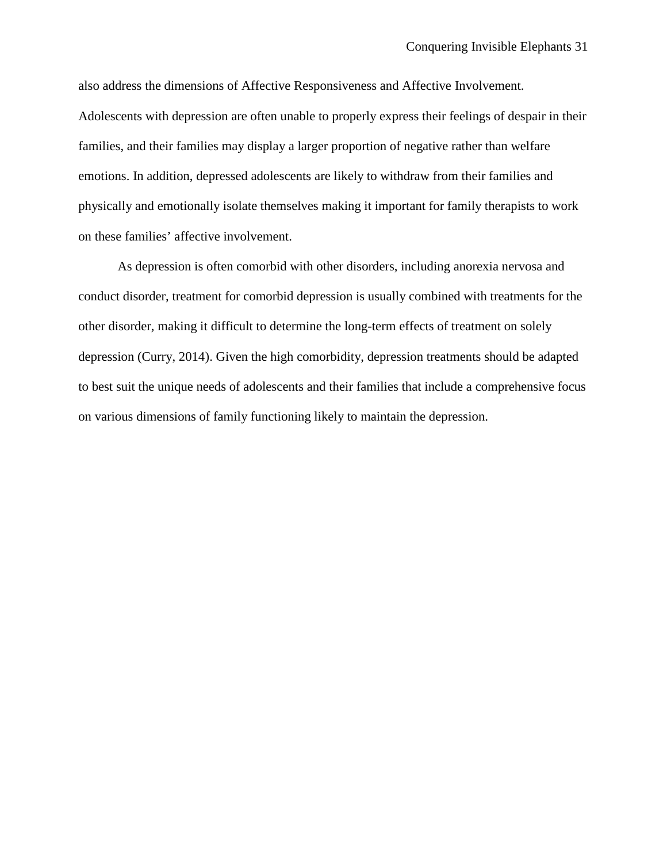also address the dimensions of Affective Responsiveness and Affective Involvement. Adolescents with depression are often unable to properly express their feelings of despair in their families, and their families may display a larger proportion of negative rather than welfare emotions. In addition, depressed adolescents are likely to withdraw from their families and physically and emotionally isolate themselves making it important for family therapists to work on these families' affective involvement.

As depression is often comorbid with other disorders, including anorexia nervosa and conduct disorder, treatment for comorbid depression is usually combined with treatments for the other disorder, making it difficult to determine the long-term effects of treatment on solely depression (Curry, 2014). Given the high comorbidity, depression treatments should be adapted to best suit the unique needs of adolescents and their families that include a comprehensive focus on various dimensions of family functioning likely to maintain the depression.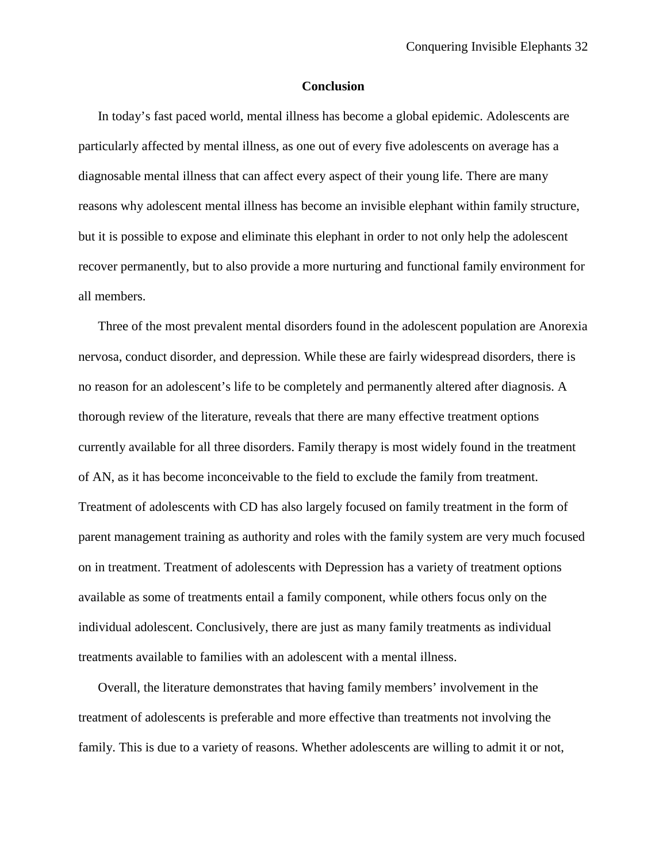#### **Conclusion**

In today's fast paced world, mental illness has become a global epidemic. Adolescents are particularly affected by mental illness, as one out of every five adolescents on average has a diagnosable mental illness that can affect every aspect of their young life. There are many reasons why adolescent mental illness has become an invisible elephant within family structure, but it is possible to expose and eliminate this elephant in order to not only help the adolescent recover permanently, but to also provide a more nurturing and functional family environment for all members.

Three of the most prevalent mental disorders found in the adolescent population are Anorexia nervosa, conduct disorder, and depression. While these are fairly widespread disorders, there is no reason for an adolescent's life to be completely and permanently altered after diagnosis. A thorough review of the literature, reveals that there are many effective treatment options currently available for all three disorders. Family therapy is most widely found in the treatment of AN, as it has become inconceivable to the field to exclude the family from treatment. Treatment of adolescents with CD has also largely focused on family treatment in the form of parent management training as authority and roles with the family system are very much focused on in treatment. Treatment of adolescents with Depression has a variety of treatment options available as some of treatments entail a family component, while others focus only on the individual adolescent. Conclusively, there are just as many family treatments as individual treatments available to families with an adolescent with a mental illness.

Overall, the literature demonstrates that having family members' involvement in the treatment of adolescents is preferable and more effective than treatments not involving the family. This is due to a variety of reasons. Whether adolescents are willing to admit it or not,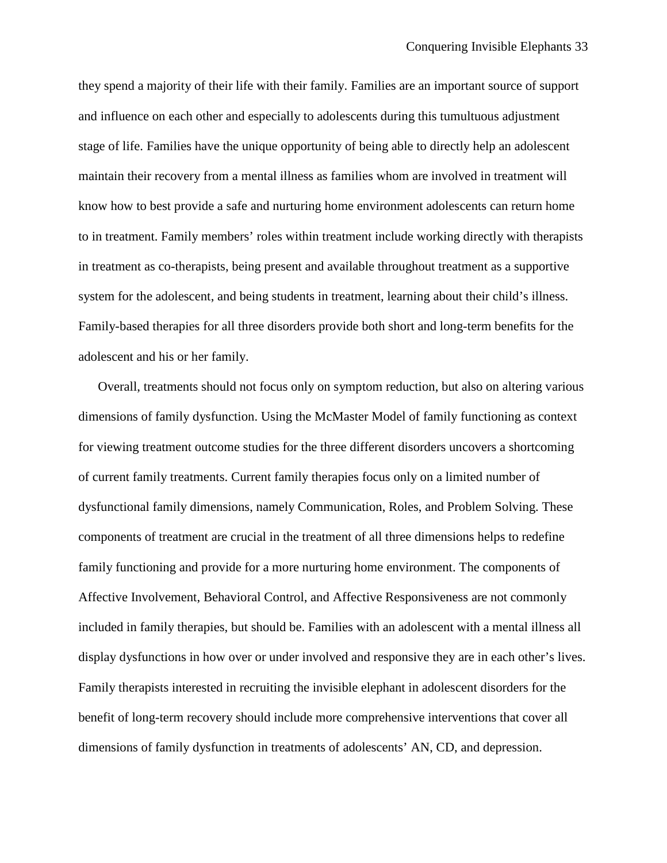they spend a majority of their life with their family. Families are an important source of support and influence on each other and especially to adolescents during this tumultuous adjustment stage of life. Families have the unique opportunity of being able to directly help an adolescent maintain their recovery from a mental illness as families whom are involved in treatment will know how to best provide a safe and nurturing home environment adolescents can return home to in treatment. Family members' roles within treatment include working directly with therapists in treatment as co-therapists, being present and available throughout treatment as a supportive system for the adolescent, and being students in treatment, learning about their child's illness. Family-based therapies for all three disorders provide both short and long-term benefits for the adolescent and his or her family.

Overall, treatments should not focus only on symptom reduction, but also on altering various dimensions of family dysfunction. Using the McMaster Model of family functioning as context for viewing treatment outcome studies for the three different disorders uncovers a shortcoming of current family treatments. Current family therapies focus only on a limited number of dysfunctional family dimensions, namely Communication, Roles, and Problem Solving. These components of treatment are crucial in the treatment of all three dimensions helps to redefine family functioning and provide for a more nurturing home environment. The components of Affective Involvement, Behavioral Control, and Affective Responsiveness are not commonly included in family therapies, but should be. Families with an adolescent with a mental illness all display dysfunctions in how over or under involved and responsive they are in each other's lives. Family therapists interested in recruiting the invisible elephant in adolescent disorders for the benefit of long-term recovery should include more comprehensive interventions that cover all dimensions of family dysfunction in treatments of adolescents' AN, CD, and depression.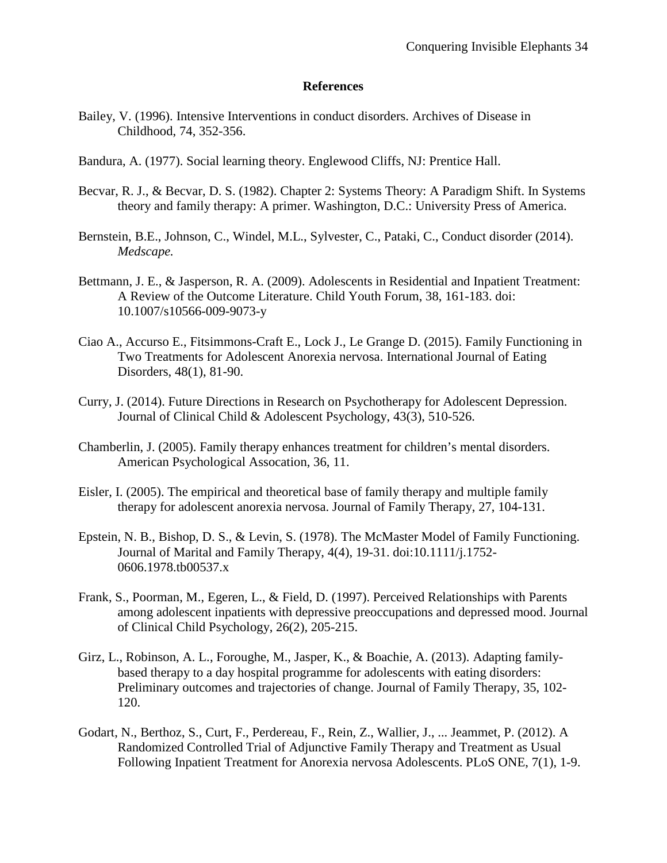### **References**

- Bailey, V. (1996). Intensive Interventions in conduct disorders. Archives of Disease in Childhood, 74, 352-356.
- Bandura, A. (1977). Social learning theory. Englewood Cliffs, NJ: Prentice Hall.
- Becvar, R. J., & Becvar, D. S. (1982). Chapter 2: Systems Theory: A Paradigm Shift. In Systems theory and family therapy: A primer. Washington, D.C.: University Press of America.
- Bernstein, B.E., Johnson, C., Windel, M.L., Sylvester, C., Pataki, C., Conduct disorder (2014). *Medscape.*
- Bettmann, J. E., & Jasperson, R. A. (2009). Adolescents in Residential and Inpatient Treatment: A Review of the Outcome Literature. Child Youth Forum, 38, 161-183. doi: 10.1007/s10566-009-9073-y
- Ciao A., Accurso E., Fitsimmons-Craft E., Lock J., Le Grange D. (2015). Family Functioning in Two Treatments for Adolescent Anorexia nervosa. International Journal of Eating Disorders, 48(1), 81-90.
- Curry, J. (2014). Future Directions in Research on Psychotherapy for Adolescent Depression. Journal of Clinical Child & Adolescent Psychology, 43(3), 510-526.
- Chamberlin, J. (2005). Family therapy enhances treatment for children's mental disorders. American Psychological Assocation, 36, 11.
- Eisler, I. (2005). The empirical and theoretical base of family therapy and multiple family therapy for adolescent anorexia nervosa. Journal of Family Therapy, 27, 104-131.
- Epstein, N. B., Bishop, D. S., & Levin, S. (1978). The McMaster Model of Family Functioning. Journal of Marital and Family Therapy, 4(4), 19-31. doi:10.1111/j.1752- 0606.1978.tb00537.x
- Frank, S., Poorman, M., Egeren, L., & Field, D. (1997). Perceived Relationships with Parents among adolescent inpatients with depressive preoccupations and depressed mood. Journal of Clinical Child Psychology, 26(2), 205-215.
- Girz, L., Robinson, A. L., Foroughe, M., Jasper, K., & Boachie, A. (2013). Adapting familybased therapy to a day hospital programme for adolescents with eating disorders: Preliminary outcomes and trajectories of change. Journal of Family Therapy, 35, 102- 120.
- Godart, N., Berthoz, S., Curt, F., Perdereau, F., Rein, Z., Wallier, J., ... Jeammet, P. (2012). A Randomized Controlled Trial of Adjunctive Family Therapy and Treatment as Usual Following Inpatient Treatment for Anorexia nervosa Adolescents. PLoS ONE, 7(1), 1-9.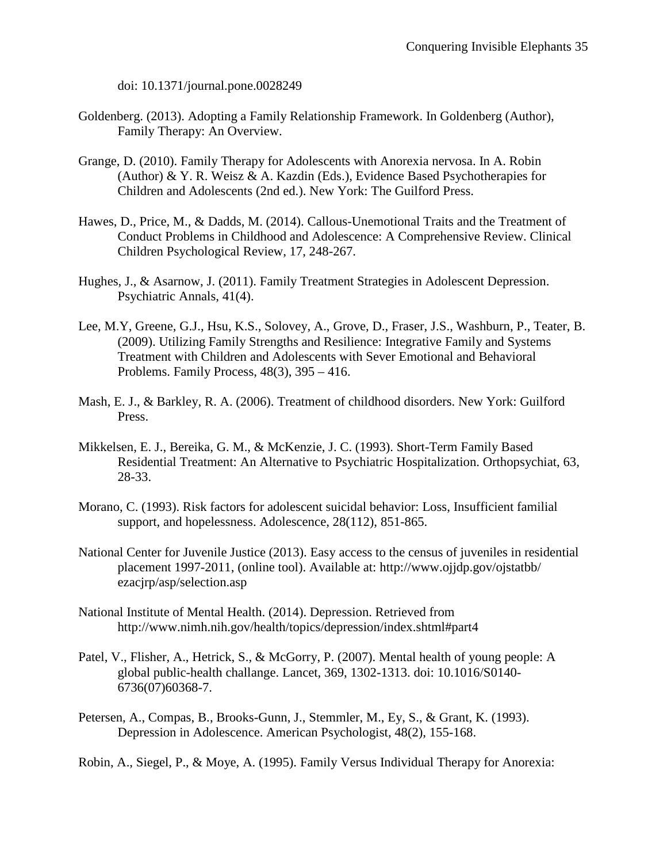doi: 10.1371/journal.pone.0028249

- Goldenberg. (2013). Adopting a Family Relationship Framework. In Goldenberg (Author), Family Therapy: An Overview.
- Grange, D. (2010). Family Therapy for Adolescents with Anorexia nervosa. In A. Robin (Author) & Y. R. Weisz & A. Kazdin (Eds.), Evidence Based Psychotherapies for Children and Adolescents (2nd ed.). New York: The Guilford Press.
- Hawes, D., Price, M., & Dadds, M. (2014). Callous-Unemotional Traits and the Treatment of Conduct Problems in Childhood and Adolescence: A Comprehensive Review. Clinical Children Psychological Review, 17, 248-267.
- Hughes, J., & Asarnow, J. (2011). Family Treatment Strategies in Adolescent Depression. Psychiatric Annals, 41(4).
- Lee, M.Y, Greene, G.J., Hsu, K.S., Solovey, A., Grove, D., Fraser, J.S., Washburn, P., Teater, B. (2009). Utilizing Family Strengths and Resilience: Integrative Family and Systems Treatment with Children and Adolescents with Sever Emotional and Behavioral Problems. Family Process,  $48(3)$ ,  $395 - 416$ .
- Mash, E. J., & Barkley, R. A. (2006). Treatment of childhood disorders. New York: Guilford Press.
- Mikkelsen, E. J., Bereika, G. M., & McKenzie, J. C. (1993). Short-Term Family Based Residential Treatment: An Alternative to Psychiatric Hospitalization. Orthopsychiat, 63, 28-33.
- Morano, C. (1993). Risk factors for adolescent suicidal behavior: Loss, Insufficient familial support, and hopelessness. Adolescence, 28(112), 851-865.
- National Center for Juvenile Justice (2013). Easy access to the census of juveniles in residential placement 1997-2011, (online tool). Available at: http://www.ojjdp.gov/ojstatbb/ ezacjrp/asp/selection.asp
- National Institute of Mental Health. (2014). Depression. Retrieved from http://www.nimh.nih.gov/health/topics/depression/index.shtml#part4
- Patel, V., Flisher, A., Hetrick, S., & McGorry, P. (2007). Mental health of young people: A global public-health challange. Lancet, 369, 1302-1313. doi: 10.1016/S0140- 6736(07)60368-7.
- Petersen, A., Compas, B., Brooks-Gunn, J., Stemmler, M., Ey, S., & Grant, K. (1993). Depression in Adolescence. American Psychologist, 48(2), 155-168.

Robin, A., Siegel, P., & Moye, A. (1995). Family Versus Individual Therapy for Anorexia: